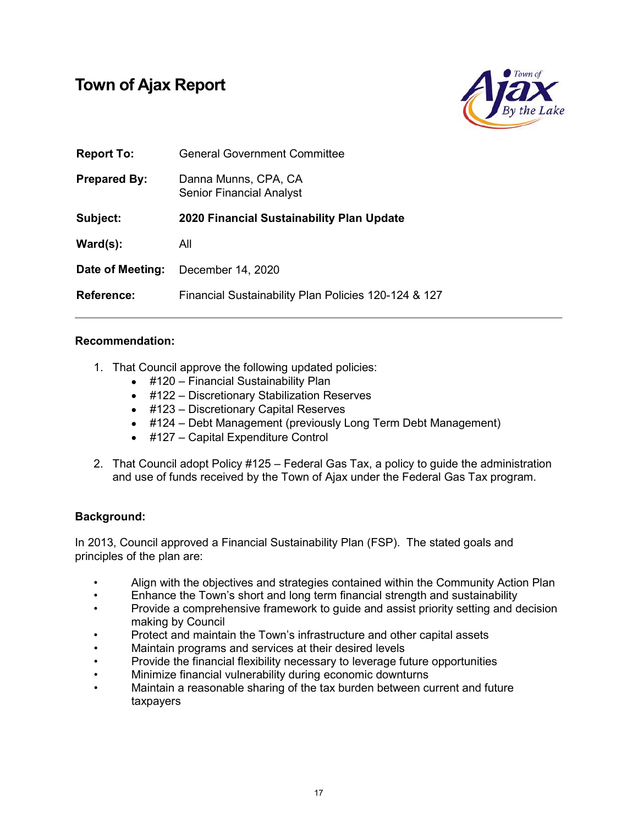# Town of Ajax Report



| <b>Report To:</b>    | <b>General Government Committee</b>                     |
|----------------------|---------------------------------------------------------|
| <b>Prepared By:</b>  | Danna Munns, CPA, CA<br><b>Senior Financial Analyst</b> |
| Subject:             | 2020 Financial Sustainability Plan Update               |
| $\textsf{Ward}(s)$ : | All                                                     |
| Date of Meeting:     | December 14, 2020                                       |
| <b>Reference:</b>    | Financial Sustainability Plan Policies 120-124 & 127    |

## Recommendation:

- 1. That Council approve the following updated policies:
	- #120 Financial Sustainability Plan
	- #122 Discretionary Stabilization Reserves
	- #123 Discretionary Capital Reserves
	- #124 Debt Management (previously Long Term Debt Management)
	- #127 Capital Expenditure Control
- 2. That Council adopt Policy #125 Federal Gas Tax, a policy to guide the administration and use of funds received by the Town of Ajax under the Federal Gas Tax program.

## Background:

In 2013, Council approved a Financial Sustainability Plan (FSP). The stated goals and principles of the plan are:

- Align with the objectives and strategies contained within the Community Action Plan
- Enhance the Town's short and long term financial strength and sustainability
- Provide a comprehensive framework to guide and assist priority setting and decision making by Council
- Protect and maintain the Town's infrastructure and other capital assets
- Maintain programs and services at their desired levels
- Provide the financial flexibility necessary to leverage future opportunities
- Minimize financial vulnerability during economic downturns
- Maintain a reasonable sharing of the tax burden between current and future taxpayers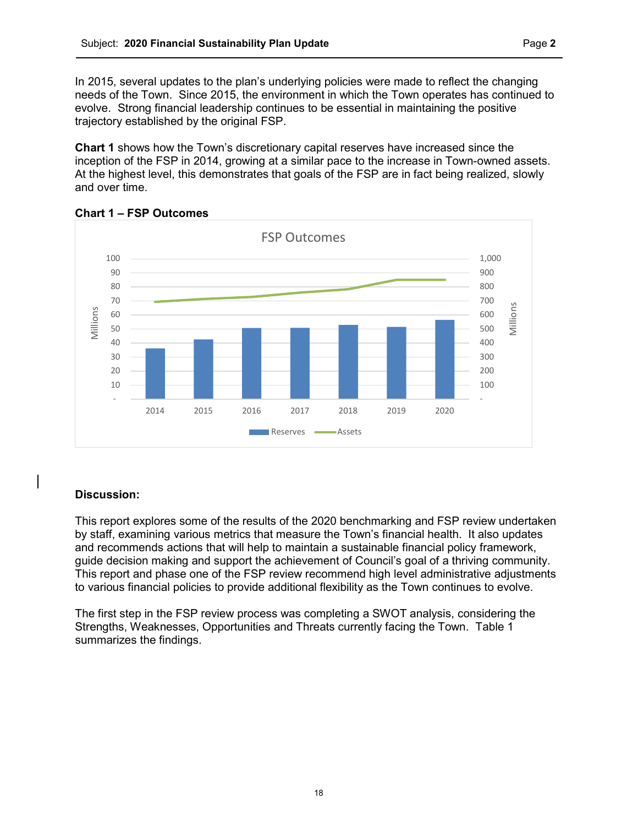In 2015, several updates to the plan's underlying policies were made to reflect the changing needs of the Town. Since 2015, the environment in which the Town operates has continued to evolve. Strong financial leadership continues to be essential in maintaining the positive trajectory established by the original FSP.

Chart 1 shows how the Town's discretionary capital reserves have increased since the inception of the FSP in 2014, growing at a similar pace to the increase in Town-owned assets. At the highest level, this demonstrates that goals of the FSP are in fact being realized, slowly and over time.



## Chart 1 – FSP Outcomes

# Discussion:

This report explores some of the results of the 2020 benchmarking and FSP review undertaken by staff, examining various metrics that measure the Town's financial health. It also updates and recommends actions that will help to maintain a sustainable financial policy framework, guide decision making and support the achievement of Council's goal of a thriving community. This report and phase one of the FSP review recommend high level administrative adjustments to various financial policies to provide additional flexibility as the Town continues to evolve.

The first step in the FSP review process was completing a SWOT analysis, considering the Strengths, Weaknesses, Opportunities and Threats currently facing the Town. Table 1 summarizes the findings.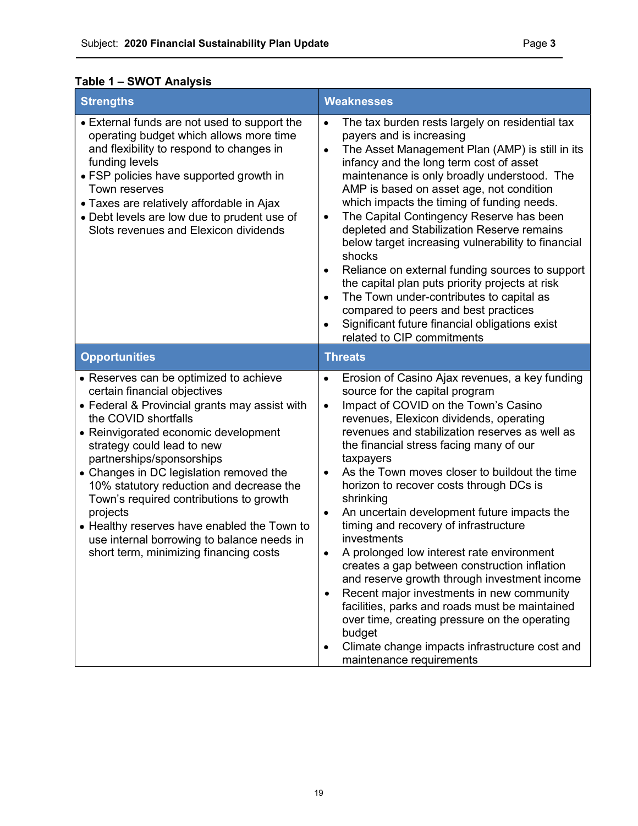# Table 1 – SWOT Analysis

| <b>Strengths</b>                                                                                                                                                                                                                                                                                                                                                                                                                                                                                                                        | <b>Weaknesses</b>                                                                                                                                                                                                                                                                                                                                                                                                                                                                                                                                                                                                                                                                                                                                                                                                                                                                                                                                |
|-----------------------------------------------------------------------------------------------------------------------------------------------------------------------------------------------------------------------------------------------------------------------------------------------------------------------------------------------------------------------------------------------------------------------------------------------------------------------------------------------------------------------------------------|--------------------------------------------------------------------------------------------------------------------------------------------------------------------------------------------------------------------------------------------------------------------------------------------------------------------------------------------------------------------------------------------------------------------------------------------------------------------------------------------------------------------------------------------------------------------------------------------------------------------------------------------------------------------------------------------------------------------------------------------------------------------------------------------------------------------------------------------------------------------------------------------------------------------------------------------------|
| • External funds are not used to support the<br>operating budget which allows more time<br>and flexibility to respond to changes in<br>funding levels<br>• FSP policies have supported growth in<br>Town reserves<br>• Taxes are relatively affordable in Ajax<br>• Debt levels are low due to prudent use of<br>Slots revenues and Elexicon dividends                                                                                                                                                                                  | The tax burden rests largely on residential tax<br>$\bullet$<br>payers and is increasing<br>The Asset Management Plan (AMP) is still in its<br>$\bullet$<br>infancy and the long term cost of asset<br>maintenance is only broadly understood. The<br>AMP is based on asset age, not condition<br>which impacts the timing of funding needs.<br>The Capital Contingency Reserve has been<br>$\bullet$<br>depleted and Stabilization Reserve remains<br>below target increasing vulnerability to financial<br>shocks<br>Reliance on external funding sources to support<br>٠<br>the capital plan puts priority projects at risk<br>The Town under-contributes to capital as<br>$\bullet$<br>compared to peers and best practices<br>Significant future financial obligations exist<br>$\bullet$<br>related to CIP commitments                                                                                                                     |
| <b>Opportunities</b>                                                                                                                                                                                                                                                                                                                                                                                                                                                                                                                    | <b>Threats</b>                                                                                                                                                                                                                                                                                                                                                                                                                                                                                                                                                                                                                                                                                                                                                                                                                                                                                                                                   |
| • Reserves can be optimized to achieve<br>certain financial objectives<br>• Federal & Provincial grants may assist with<br>the COVID shortfalls<br>• Reinvigorated economic development<br>strategy could lead to new<br>partnerships/sponsorships<br>• Changes in DC legislation removed the<br>10% statutory reduction and decrease the<br>Town's required contributions to growth<br>projects<br>• Healthy reserves have enabled the Town to<br>use internal borrowing to balance needs in<br>short term, minimizing financing costs | Erosion of Casino Ajax revenues, a key funding<br>$\bullet$<br>source for the capital program<br>Impact of COVID on the Town's Casino<br>$\bullet$<br>revenues, Elexicon dividends, operating<br>revenues and stabilization reserves as well as<br>the financial stress facing many of our<br>taxpayers<br>As the Town moves closer to buildout the time<br>٠<br>horizon to recover costs through DCs is<br>shrinking<br>An uncertain development future impacts the<br>٠<br>timing and recovery of infrastructure<br>investments<br>A prolonged low interest rate environment<br>$\bullet$<br>creates a gap between construction inflation<br>and reserve growth through investment income<br>Recent major investments in new community<br>$\bullet$<br>facilities, parks and roads must be maintained<br>over time, creating pressure on the operating<br>budget<br>Climate change impacts infrastructure cost and<br>maintenance requirements |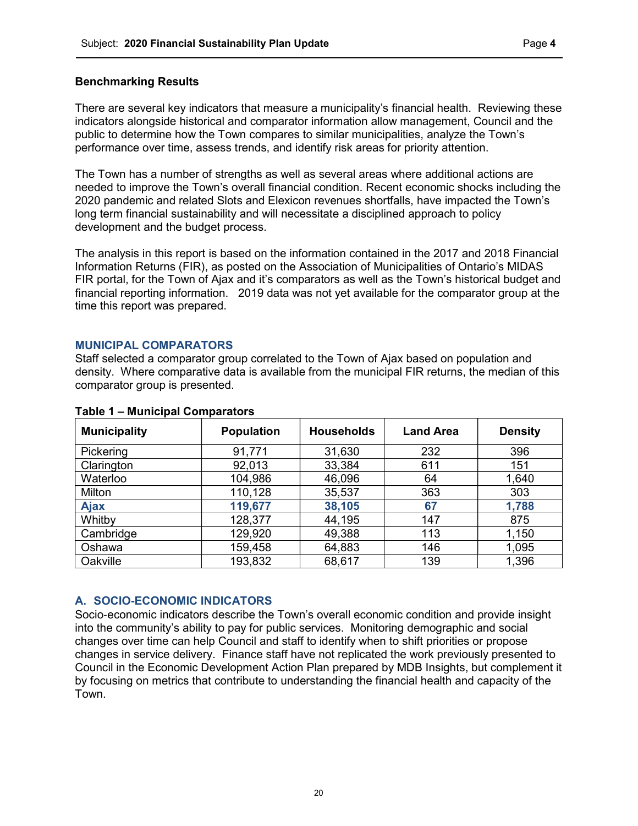#### Benchmarking Results

There are several key indicators that measure a municipality's financial health. Reviewing these indicators alongside historical and comparator information allow management, Council and the public to determine how the Town compares to similar municipalities, analyze the Town's performance over time, assess trends, and identify risk areas for priority attention.

The Town has a number of strengths as well as several areas where additional actions are needed to improve the Town's overall financial condition. Recent economic shocks including the 2020 pandemic and related Slots and Elexicon revenues shortfalls, have impacted the Town's long term financial sustainability and will necessitate a disciplined approach to policy development and the budget process.

The analysis in this report is based on the information contained in the 2017 and 2018 Financial Information Returns (FIR), as posted on the Association of Municipalities of Ontario's MIDAS FIR portal, for the Town of Ajax and it's comparators as well as the Town's historical budget and financial reporting information. 2019 data was not yet available for the comparator group at the time this report was prepared.

#### MUNICIPAL COMPARATORS

Staff selected a comparator group correlated to the Town of Ajax based on population and density. Where comparative data is available from the municipal FIR returns, the median of this comparator group is presented.

| <b>Municipality</b> | <b>Population</b> | <b>Households</b> | <b>Land Area</b> | <b>Density</b> |
|---------------------|-------------------|-------------------|------------------|----------------|
| Pickering           | 91,771            | 31,630            | 232              | 396            |
| Clarington          | 92,013            | 33,384            | 611              | 151            |
| Waterloo            | 104,986           | 46,096            | 64               | 1,640          |
| Milton              | 110,128           | 35,537            | 363              | 303            |
| <b>Ajax</b>         | 119,677           | 38,105            | 67               | 1,788          |
| Whitby              | 128,377           | 44,195            | 147              | 875            |
| Cambridge           | 129,920           | 49,388            | 113              | 1,150          |
| Oshawa              | 159,458           | 64,883            | 146              | 1,095          |
| Oakville            | 193,832           | 68,617            | 139              | 1,396          |

#### Table 1 – Municipal Comparators

## A. SOCIO-ECONOMIC INDICATORS

Socio-economic indicators describe the Town's overall economic condition and provide insight into the community's ability to pay for public services. Monitoring demographic and social changes over time can help Council and staff to identify when to shift priorities or propose changes in service delivery. Finance staff have not replicated the work previously presented to Council in the Economic Development Action Plan prepared by MDB Insights, but complement it by focusing on metrics that contribute to understanding the financial health and capacity of the Town.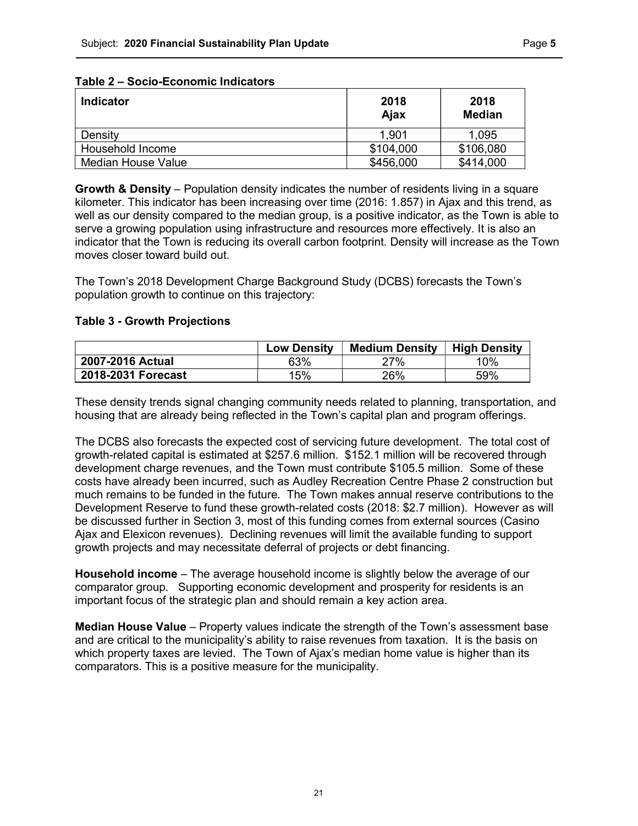| Indicator          | 2018<br>Ajax | 2018<br><b>Median</b> |
|--------------------|--------------|-----------------------|
| Density            | 1,901        | 1,095                 |
| Household Income   | \$104,000    | \$106,080             |
| Median House Value | \$456,000    | \$414,000             |

#### Table 2 – Socio-Economic Indicators

Growth & Density – Population density indicates the number of residents living in a square kilometer. This indicator has been increasing over time (2016: 1.857) in Ajax and this trend, as well as our density compared to the median group, is a positive indicator, as the Town is able to serve a growing population using infrastructure and resources more effectively. It is also an indicator that the Town is reducing its overall carbon footprint. Density will increase as the Town moves closer toward build out.

The Town's 2018 Development Charge Background Study (DCBS) forecasts the Town's population growth to continue on this trajectory:

# Table 3 - Growth Projections

|                    | <b>Low Density</b> | <b>Medium Density</b> | <b>High Density</b> |
|--------------------|--------------------|-----------------------|---------------------|
| 2007-2016 Actual   | 63%                | $27\%$                | 10%                 |
| 2018-2031 Forecast | 15%                | 26%                   | 59%                 |

These density trends signal changing community needs related to planning, transportation, and housing that are already being reflected in the Town's capital plan and program offerings.

The DCBS also forecasts the expected cost of servicing future development. The total cost of growth-related capital is estimated at \$257.6 million. \$152.1 million will be recovered through development charge revenues, and the Town must contribute \$105.5 million. Some of these costs have already been incurred, such as Audley Recreation Centre Phase 2 construction but much remains to be funded in the future. The Town makes annual reserve contributions to the Development Reserve to fund these growth-related costs (2018: \$2.7 million). However as will be discussed further in Section 3, most of this funding comes from external sources (Casino Ajax and Elexicon revenues). Declining revenues will limit the available funding to support growth projects and may necessitate deferral of projects or debt financing.

Household income – The average household income is slightly below the average of our comparator group. Supporting economic development and prosperity for residents is an important focus of the strategic plan and should remain a key action area.

Median House Value – Property values indicate the strength of the Town's assessment base and are critical to the municipality's ability to raise revenues from taxation. It is the basis on which property taxes are levied. The Town of Ajax's median home value is higher than its comparators. This is a positive measure for the municipality.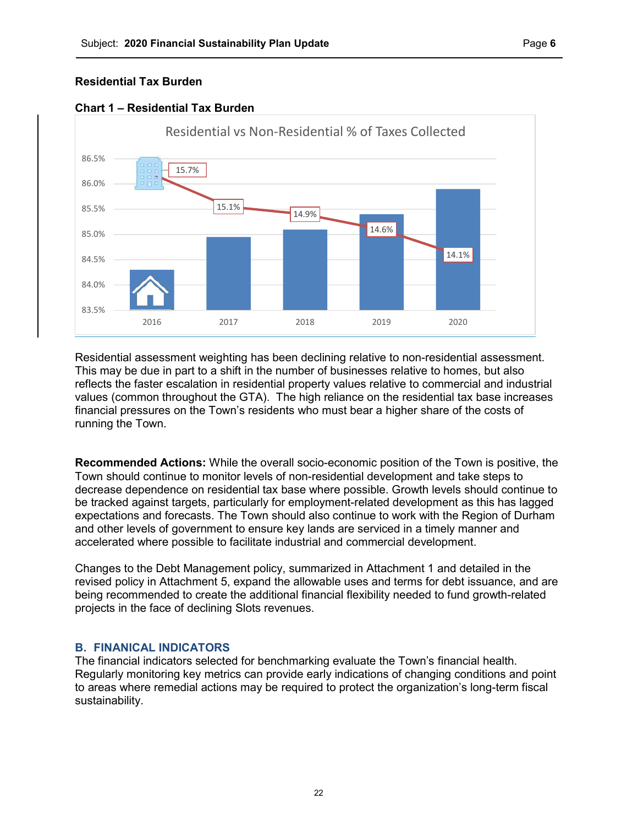## Residential Tax Burden



#### Chart 1 – Residential Tax Burden

Residential assessment weighting has been declining relative to non-residential assessment. This may be due in part to a shift in the number of businesses relative to homes, but also reflects the faster escalation in residential property values relative to commercial and industrial values (common throughout the GTA). The high reliance on the residential tax base increases financial pressures on the Town's residents who must bear a higher share of the costs of running the Town.

Recommended Actions: While the overall socio-economic position of the Town is positive, the Town should continue to monitor levels of non-residential development and take steps to decrease dependence on residential tax base where possible. Growth levels should continue to be tracked against targets, particularly for employment-related development as this has lagged expectations and forecasts. The Town should also continue to work with the Region of Durham and other levels of government to ensure key lands are serviced in a timely manner and accelerated where possible to facilitate industrial and commercial development.

Changes to the Debt Management policy, summarized in Attachment 1 and detailed in the revised policy in Attachment 5, expand the allowable uses and terms for debt issuance, and are being recommended to create the additional financial flexibility needed to fund growth-related projects in the face of declining Slots revenues.

#### B. FINANICAL INDICATORS

The financial indicators selected for benchmarking evaluate the Town's financial health. Regularly monitoring key metrics can provide early indications of changing conditions and point to areas where remedial actions may be required to protect the organization's long-term fiscal sustainability.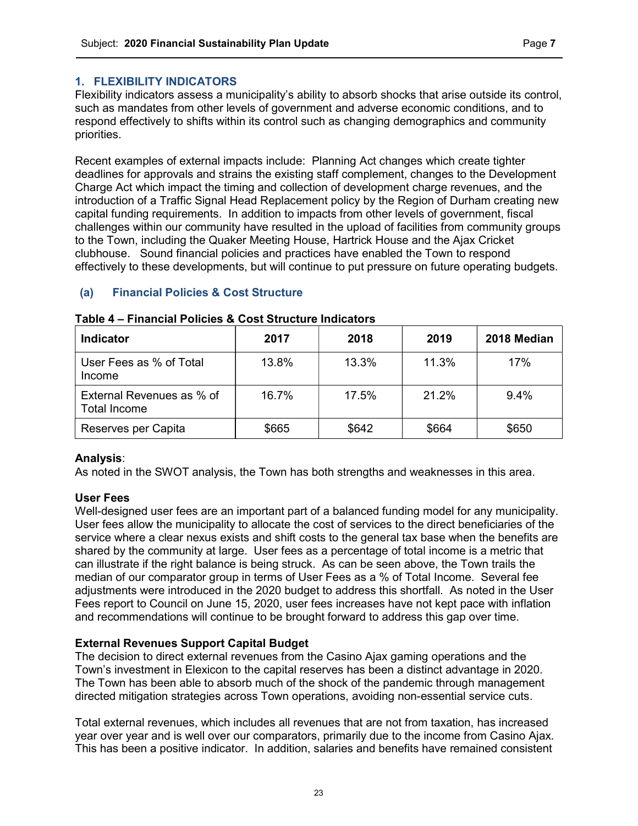#### 1. FLEXIBILITY INDICATORS

Flexibility indicators assess a municipality's ability to absorb shocks that arise outside its control, such as mandates from other levels of government and adverse economic conditions, and to respond effectively to shifts within its control such as changing demographics and community priorities.

Recent examples of external impacts include: Planning Act changes which create tighter deadlines for approvals and strains the existing staff complement, changes to the Development Charge Act which impact the timing and collection of development charge revenues, and the introduction of a Traffic Signal Head Replacement policy by the Region of Durham creating new capital funding requirements. In addition to impacts from other levels of government, fiscal challenges within our community have resulted in the upload of facilities from community groups to the Town, including the Quaker Meeting House, Hartrick House and the Ajax Cricket clubhouse. Sound financial policies and practices have enabled the Town to respond effectively to these developments, but will continue to put pressure on future operating budgets.

#### (a) Financial Policies & Cost Structure

| <b>Indicator</b>                                 | 2017  | 2018  | 2019  | 2018 Median |
|--------------------------------------------------|-------|-------|-------|-------------|
| User Fees as % of Total<br>Income                | 13.8% | 13.3% | 11.3% | 17%         |
| External Revenues as % of<br><b>Total Income</b> | 16.7% | 17.5% | 21.2% | 9.4%        |
| Reserves per Capita                              | \$665 | \$642 | \$664 | \$650       |

#### Table 4 – Financial Policies & Cost Structure Indicators

#### Analysis:

As noted in the SWOT analysis, the Town has both strengths and weaknesses in this area.

#### User Fees

Well-designed user fees are an important part of a balanced funding model for any municipality. User fees allow the municipality to allocate the cost of services to the direct beneficiaries of the service where a clear nexus exists and shift costs to the general tax base when the benefits are shared by the community at large. User fees as a percentage of total income is a metric that can illustrate if the right balance is being struck. As can be seen above, the Town trails the median of our comparator group in terms of User Fees as a % of Total Income. Several fee adjustments were introduced in the 2020 budget to address this shortfall. As noted in the User Fees report to Council on June 15, 2020, user fees increases have not kept pace with inflation and recommendations will continue to be brought forward to address this gap over time.

#### External Revenues Support Capital Budget

The decision to direct external revenues from the Casino Ajax gaming operations and the Town's investment in Elexicon to the capital reserves has been a distinct advantage in 2020. The Town has been able to absorb much of the shock of the pandemic through management directed mitigation strategies across Town operations, avoiding non-essential service cuts.

Total external revenues, which includes all revenues that are not from taxation, has increased year over year and is well over our comparators, primarily due to the income from Casino Ajax. This has been a positive indicator. In addition, salaries and benefits have remained consistent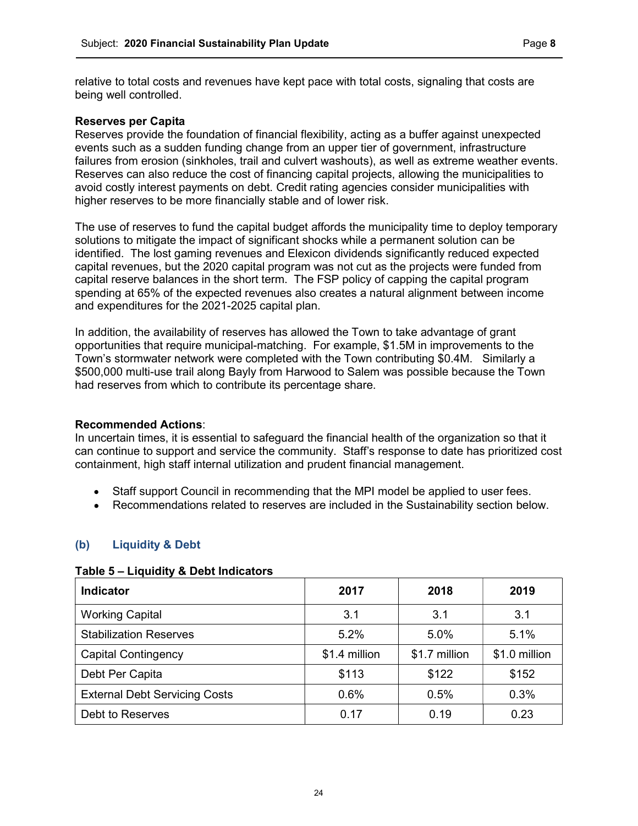relative to total costs and revenues have kept pace with total costs, signaling that costs are being well controlled.

#### Reserves per Capita

Reserves provide the foundation of financial flexibility, acting as a buffer against unexpected events such as a sudden funding change from an upper tier of government, infrastructure failures from erosion (sinkholes, trail and culvert washouts), as well as extreme weather events. Reserves can also reduce the cost of financing capital projects, allowing the municipalities to avoid costly interest payments on debt. Credit rating agencies consider municipalities with higher reserves to be more financially stable and of lower risk.

The use of reserves to fund the capital budget affords the municipality time to deploy temporary solutions to mitigate the impact of significant shocks while a permanent solution can be identified. The lost gaming revenues and Elexicon dividends significantly reduced expected capital revenues, but the 2020 capital program was not cut as the projects were funded from capital reserve balances in the short term. The FSP policy of capping the capital program spending at 65% of the expected revenues also creates a natural alignment between income and expenditures for the 2021-2025 capital plan.

In addition, the availability of reserves has allowed the Town to take advantage of grant opportunities that require municipal-matching. For example, \$1.5M in improvements to the Town's stormwater network were completed with the Town contributing \$0.4M. Similarly a \$500,000 multi-use trail along Bayly from Harwood to Salem was possible because the Town had reserves from which to contribute its percentage share.

#### Recommended Actions:

In uncertain times, it is essential to safeguard the financial health of the organization so that it can continue to support and service the community. Staff's response to date has prioritized cost containment, high staff internal utilization and prudent financial management.

- Staff support Council in recommending that the MPI model be applied to user fees.
- Recommendations related to reserves are included in the Sustainability section below.

## (b) Liquidity & Debt

#### Table 5 – Liquidity & Debt Indicators

| <b>Indicator</b>                     | 2017          | 2018          | 2019          |
|--------------------------------------|---------------|---------------|---------------|
| <b>Working Capital</b>               | 3.1           | 3.1           | 3.1           |
| <b>Stabilization Reserves</b>        | 5.2%          | 5.0%          | 5.1%          |
| <b>Capital Contingency</b>           | \$1.4 million | \$1.7 million | \$1.0 million |
| Debt Per Capita                      | \$113         | \$122         | \$152         |
| <b>External Debt Servicing Costs</b> | 0.6%          | 0.5%          | 0.3%          |
| Debt to Reserves                     | 0.17          | 0.19          | 0.23          |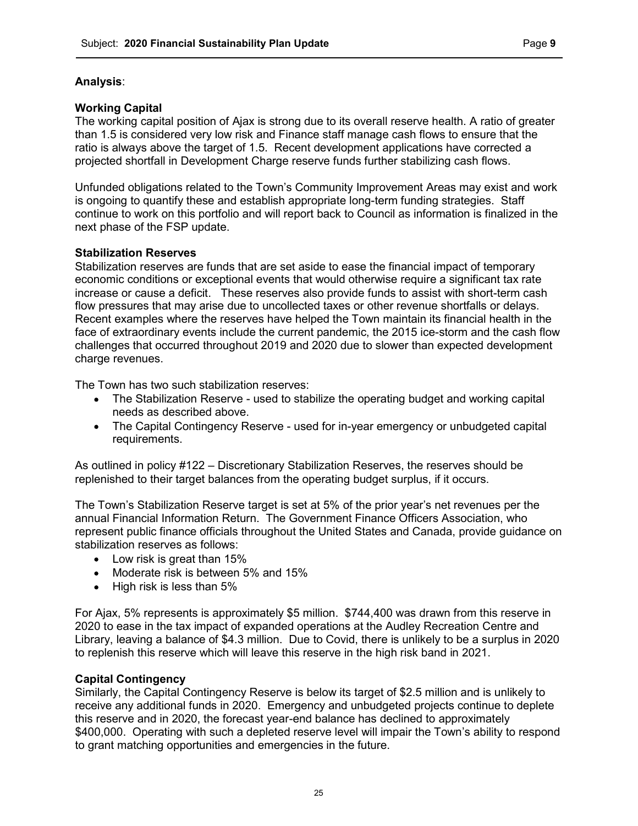## Analysis:

## Working Capital

The working capital position of Ajax is strong due to its overall reserve health. A ratio of greater than 1.5 is considered very low risk and Finance staff manage cash flows to ensure that the ratio is always above the target of 1.5. Recent development applications have corrected a projected shortfall in Development Charge reserve funds further stabilizing cash flows.

Unfunded obligations related to the Town's Community Improvement Areas may exist and work is ongoing to quantify these and establish appropriate long-term funding strategies. Staff continue to work on this portfolio and will report back to Council as information is finalized in the next phase of the FSP update.

#### Stabilization Reserves

Stabilization reserves are funds that are set aside to ease the financial impact of temporary economic conditions or exceptional events that would otherwise require a significant tax rate increase or cause a deficit. These reserves also provide funds to assist with short-term cash flow pressures that may arise due to uncollected taxes or other revenue shortfalls or delays. Recent examples where the reserves have helped the Town maintain its financial health in the face of extraordinary events include the current pandemic, the 2015 ice-storm and the cash flow challenges that occurred throughout 2019 and 2020 due to slower than expected development charge revenues.

The Town has two such stabilization reserves:

- The Stabilization Reserve used to stabilize the operating budget and working capital needs as described above.
- The Capital Contingency Reserve used for in-year emergency or unbudgeted capital requirements.

As outlined in policy #122 – Discretionary Stabilization Reserves, the reserves should be replenished to their target balances from the operating budget surplus, if it occurs.

The Town's Stabilization Reserve target is set at 5% of the prior year's net revenues per the annual Financial Information Return. The Government Finance Officers Association, who represent public finance officials throughout the United States and Canada, provide guidance on stabilization reserves as follows:

- Low risk is great than 15%
- Moderate risk is between 5% and 15%
- $\bullet$  High risk is less than 5%

For Ajax, 5% represents is approximately \$5 million. \$744,400 was drawn from this reserve in 2020 to ease in the tax impact of expanded operations at the Audley Recreation Centre and Library, leaving a balance of \$4.3 million. Due to Covid, there is unlikely to be a surplus in 2020 to replenish this reserve which will leave this reserve in the high risk band in 2021.

#### Capital Contingency

Similarly, the Capital Contingency Reserve is below its target of \$2.5 million and is unlikely to receive any additional funds in 2020. Emergency and unbudgeted projects continue to deplete this reserve and in 2020, the forecast year-end balance has declined to approximately \$400,000. Operating with such a depleted reserve level will impair the Town's ability to respond to grant matching opportunities and emergencies in the future.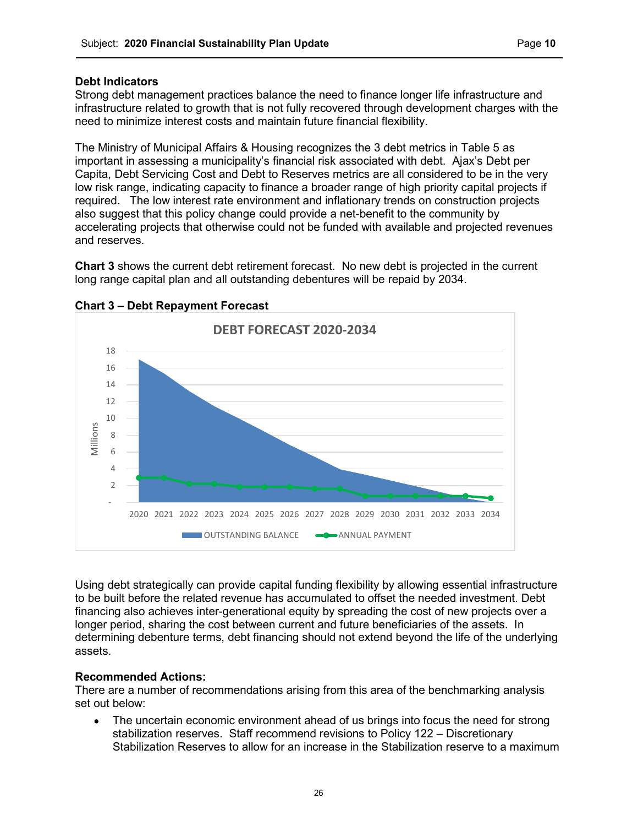#### Debt Indicators

Strong debt management practices balance the need to finance longer life infrastructure and infrastructure related to growth that is not fully recovered through development charges with the need to minimize interest costs and maintain future financial flexibility.

The Ministry of Municipal Affairs & Housing recognizes the 3 debt metrics in Table 5 as important in assessing a municipality's financial risk associated with debt. Ajax's Debt per Capita, Debt Servicing Cost and Debt to Reserves metrics are all considered to be in the very low risk range, indicating capacity to finance a broader range of high priority capital projects if required. The low interest rate environment and inflationary trends on construction projects also suggest that this policy change could provide a net-benefit to the community by accelerating projects that otherwise could not be funded with available and projected revenues and reserves.

Chart 3 shows the current debt retirement forecast. No new debt is projected in the current long range capital plan and all outstanding debentures will be repaid by 2034.



Chart 3 – Debt Repayment Forecast

Using debt strategically can provide capital funding flexibility by allowing essential infrastructure to be built before the related revenue has accumulated to offset the needed investment. Debt financing also achieves inter-generational equity by spreading the cost of new projects over a longer period, sharing the cost between current and future beneficiaries of the assets. In determining debenture terms, debt financing should not extend beyond the life of the underlying assets.

## Recommended Actions:

There are a number of recommendations arising from this area of the benchmarking analysis set out below:

The uncertain economic environment ahead of us brings into focus the need for strong  $\bullet$ stabilization reserves. Staff recommend revisions to Policy 122 – Discretionary Stabilization Reserves to allow for an increase in the Stabilization reserve to a maximum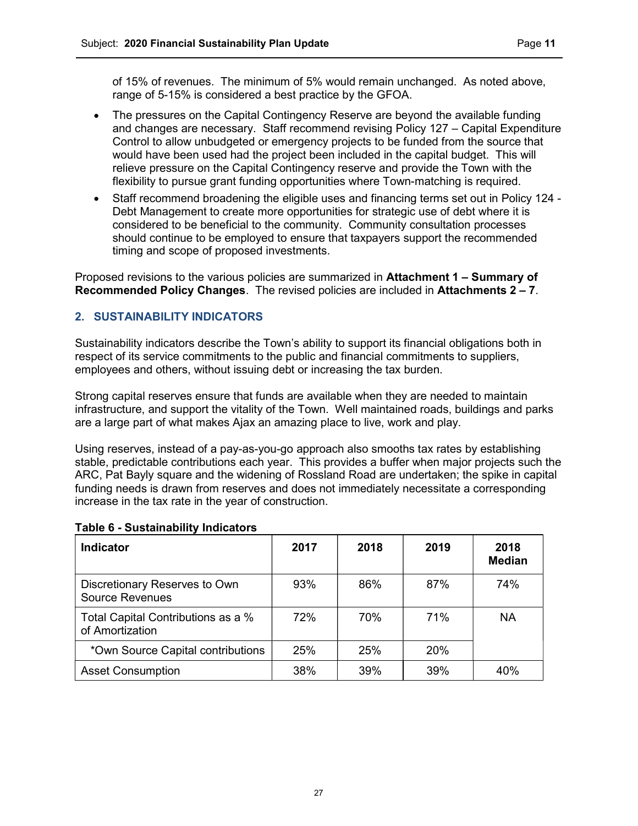of 15% of revenues. The minimum of 5% would remain unchanged. As noted above, range of 5-15% is considered a best practice by the GFOA.

- The pressures on the Capital Contingency Reserve are beyond the available funding and changes are necessary. Staff recommend revising Policy 127 – Capital Expenditure Control to allow unbudgeted or emergency projects to be funded from the source that would have been used had the project been included in the capital budget. This will relieve pressure on the Capital Contingency reserve and provide the Town with the flexibility to pursue grant funding opportunities where Town-matching is required.
- Staff recommend broadening the eligible uses and financing terms set out in Policy 124 Debt Management to create more opportunities for strategic use of debt where it is considered to be beneficial to the community. Community consultation processes should continue to be employed to ensure that taxpayers support the recommended timing and scope of proposed investments.

Proposed revisions to the various policies are summarized in **Attachment 1 – Summary of** Recommended Policy Changes. The revised policies are included in Attachments 2 – 7.

# 2. SUSTAINABILITY INDICATORS

Sustainability indicators describe the Town's ability to support its financial obligations both in respect of its service commitments to the public and financial commitments to suppliers, employees and others, without issuing debt or increasing the tax burden.

Strong capital reserves ensure that funds are available when they are needed to maintain infrastructure, and support the vitality of the Town. Well maintained roads, buildings and parks are a large part of what makes Ajax an amazing place to live, work and play.

Using reserves, instead of a pay-as-you-go approach also smooths tax rates by establishing stable, predictable contributions each year. This provides a buffer when major projects such the ARC, Pat Bayly square and the widening of Rossland Road are undertaken; the spike in capital funding needs is drawn from reserves and does not immediately necessitate a corresponding increase in the tax rate in the year of construction.

| <b>Indicator</b>                                        | 2017 | 2018 | 2019 | 2018<br><b>Median</b> |
|---------------------------------------------------------|------|------|------|-----------------------|
| Discretionary Reserves to Own<br><b>Source Revenues</b> | 93%  | 86%  | 87%  | 74%                   |
| Total Capital Contributions as a %<br>of Amortization   | 72%  | 70%  | 71%  | <b>NA</b>             |
| *Own Source Capital contributions                       | 25%  | 25%  | 20%  |                       |
| <b>Asset Consumption</b>                                | 38%  | 39%  | 39%  | 40%                   |

#### Table 6 - Sustainability Indicators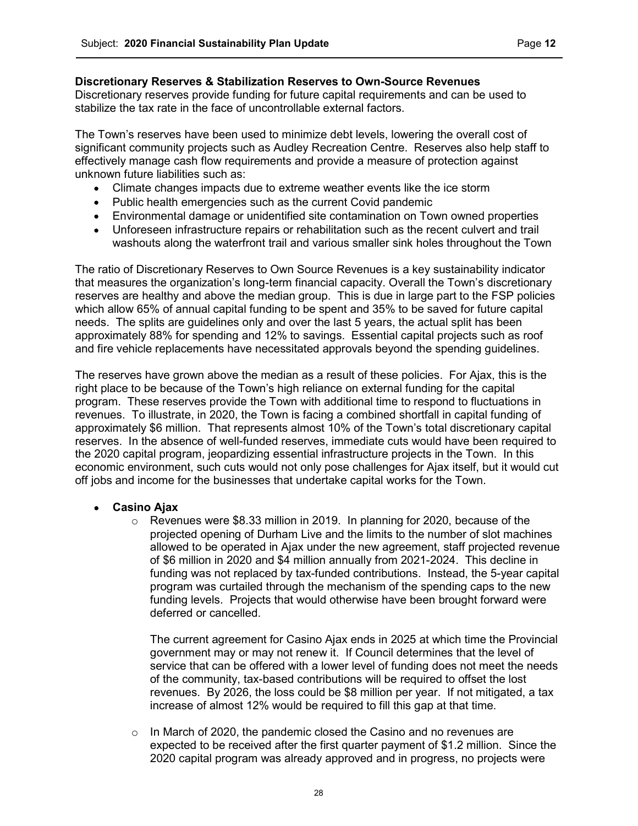# Discretionary Reserves & Stabilization Reserves to Own-Source Revenues

Discretionary reserves provide funding for future capital requirements and can be used to stabilize the tax rate in the face of uncontrollable external factors.

The Town's reserves have been used to minimize debt levels, lowering the overall cost of significant community projects such as Audley Recreation Centre. Reserves also help staff to effectively manage cash flow requirements and provide a measure of protection against unknown future liabilities such as:

- Climate changes impacts due to extreme weather events like the ice storm
- Public health emergencies such as the current Covid pandemic
- Environmental damage or unidentified site contamination on Town owned properties
- Unforeseen infrastructure repairs or rehabilitation such as the recent culvert and trail washouts along the waterfront trail and various smaller sink holes throughout the Town

The ratio of Discretionary Reserves to Own Source Revenues is a key sustainability indicator that measures the organization's long-term financial capacity. Overall the Town's discretionary reserves are healthy and above the median group. This is due in large part to the FSP policies which allow 65% of annual capital funding to be spent and 35% to be saved for future capital needs. The splits are guidelines only and over the last 5 years, the actual split has been approximately 88% for spending and 12% to savings. Essential capital projects such as roof and fire vehicle replacements have necessitated approvals beyond the spending guidelines.

The reserves have grown above the median as a result of these policies. For Ajax, this is the right place to be because of the Town's high reliance on external funding for the capital program. These reserves provide the Town with additional time to respond to fluctuations in revenues. To illustrate, in 2020, the Town is facing a combined shortfall in capital funding of approximately \$6 million. That represents almost 10% of the Town's total discretionary capital reserves. In the absence of well-funded reserves, immediate cuts would have been required to the 2020 capital program, jeopardizing essential infrastructure projects in the Town. In this economic environment, such cuts would not only pose challenges for Ajax itself, but it would cut off jobs and income for the businesses that undertake capital works for the Town.

## Casino Ajax

 $\circ$  Revenues were \$8.33 million in 2019. In planning for 2020, because of the projected opening of Durham Live and the limits to the number of slot machines allowed to be operated in Ajax under the new agreement, staff projected revenue of \$6 million in 2020 and \$4 million annually from 2021-2024. This decline in funding was not replaced by tax-funded contributions. Instead, the 5-year capital program was curtailed through the mechanism of the spending caps to the new funding levels. Projects that would otherwise have been brought forward were deferred or cancelled.

The current agreement for Casino Ajax ends in 2025 at which time the Provincial government may or may not renew it. If Council determines that the level of service that can be offered with a lower level of funding does not meet the needs of the community, tax-based contributions will be required to offset the lost revenues. By 2026, the loss could be \$8 million per year. If not mitigated, a tax increase of almost 12% would be required to fill this gap at that time.

o In March of 2020, the pandemic closed the Casino and no revenues are expected to be received after the first quarter payment of \$1.2 million. Since the 2020 capital program was already approved and in progress, no projects were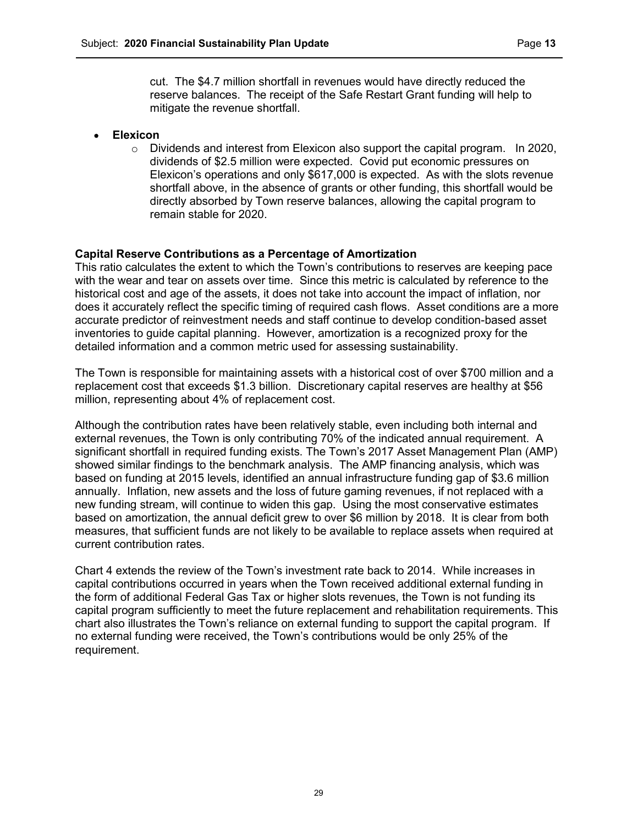cut. The \$4.7 million shortfall in revenues would have directly reduced the reserve balances. The receipt of the Safe Restart Grant funding will help to mitigate the revenue shortfall.

- Elexicon
	- $\circ$  Dividends and interest from Elexicon also support the capital program. In 2020, dividends of \$2.5 million were expected. Covid put economic pressures on Elexicon's operations and only \$617,000 is expected. As with the slots revenue shortfall above, in the absence of grants or other funding, this shortfall would be directly absorbed by Town reserve balances, allowing the capital program to remain stable for 2020.

#### Capital Reserve Contributions as a Percentage of Amortization

This ratio calculates the extent to which the Town's contributions to reserves are keeping pace with the wear and tear on assets over time. Since this metric is calculated by reference to the historical cost and age of the assets, it does not take into account the impact of inflation, nor does it accurately reflect the specific timing of required cash flows. Asset conditions are a more accurate predictor of reinvestment needs and staff continue to develop condition-based asset inventories to guide capital planning. However, amortization is a recognized proxy for the detailed information and a common metric used for assessing sustainability.

The Town is responsible for maintaining assets with a historical cost of over \$700 million and a replacement cost that exceeds \$1.3 billion. Discretionary capital reserves are healthy at \$56 million, representing about 4% of replacement cost.

Although the contribution rates have been relatively stable, even including both internal and external revenues, the Town is only contributing 70% of the indicated annual requirement. A significant shortfall in required funding exists. The Town's 2017 Asset Management Plan (AMP) showed similar findings to the benchmark analysis. The AMP financing analysis, which was based on funding at 2015 levels, identified an annual infrastructure funding gap of \$3.6 million annually. Inflation, new assets and the loss of future gaming revenues, if not replaced with a new funding stream, will continue to widen this gap. Using the most conservative estimates based on amortization, the annual deficit grew to over \$6 million by 2018. It is clear from both measures, that sufficient funds are not likely to be available to replace assets when required at current contribution rates.

Chart 4 extends the review of the Town's investment rate back to 2014. While increases in capital contributions occurred in years when the Town received additional external funding in the form of additional Federal Gas Tax or higher slots revenues, the Town is not funding its capital program sufficiently to meet the future replacement and rehabilitation requirements. This chart also illustrates the Town's reliance on external funding to support the capital program. If no external funding were received, the Town's contributions would be only 25% of the requirement.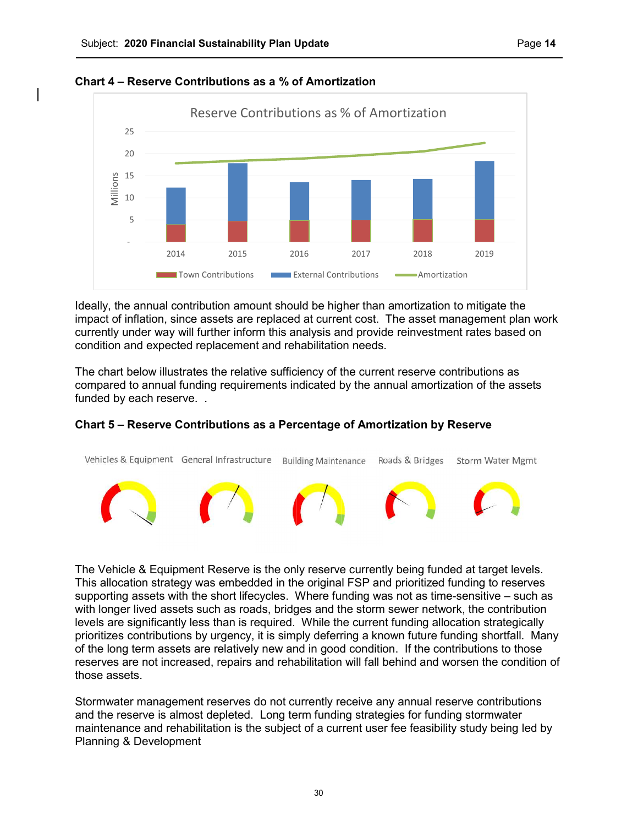

Chart 4 – Reserve Contributions as a % of Amortization

Ideally, the annual contribution amount should be higher than amortization to mitigate the impact of inflation, since assets are replaced at current cost. The asset management plan work currently under way will further inform this analysis and provide reinvestment rates based on condition and expected replacement and rehabilitation needs.

The chart below illustrates the relative sufficiency of the current reserve contributions as compared to annual funding requirements indicated by the annual amortization of the assets funded by each reserve. .

## Chart 5 – Reserve Contributions as a Percentage of Amortization by Reserve



The Vehicle & Equipment Reserve is the only reserve currently being funded at target levels. This allocation strategy was embedded in the original FSP and prioritized funding to reserves supporting assets with the short lifecycles. Where funding was not as time-sensitive – such as with longer lived assets such as roads, bridges and the storm sewer network, the contribution levels are significantly less than is required. While the current funding allocation strategically prioritizes contributions by urgency, it is simply deferring a known future funding shortfall. Many of the long term assets are relatively new and in good condition. If the contributions to those reserves are not increased, repairs and rehabilitation will fall behind and worsen the condition of those assets.

Stormwater management reserves do not currently receive any annual reserve contributions and the reserve is almost depleted. Long term funding strategies for funding stormwater maintenance and rehabilitation is the subject of a current user fee feasibility study being led by Planning & Development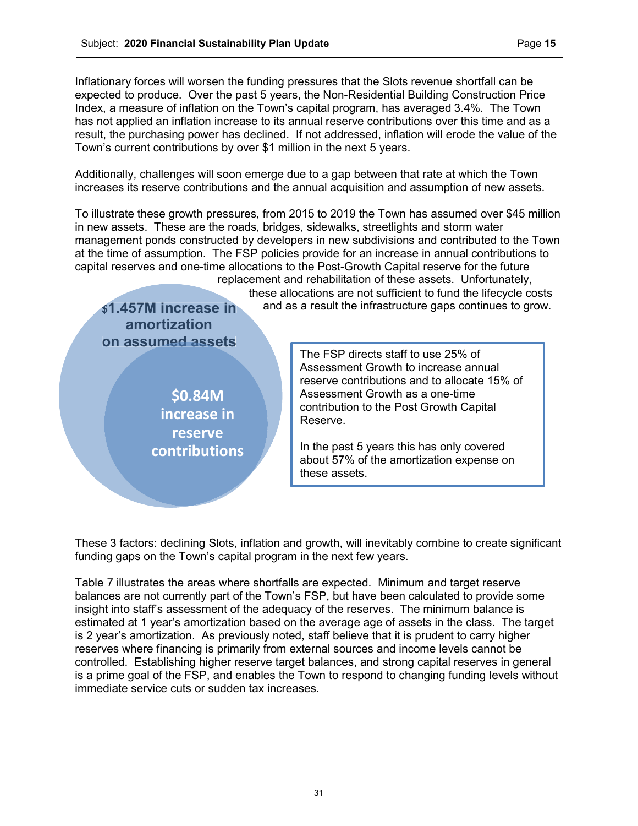Inflationary forces will worsen the funding pressures that the Slots revenue shortfall can be expected to produce. Over the past 5 years, the Non-Residential Building Construction Price Index, a measure of inflation on the Town's capital program, has averaged 3.4%. The Town has not applied an inflation increase to its annual reserve contributions over this time and as a result, the purchasing power has declined. If not addressed, inflation will erode the value of the Town's current contributions by over \$1 million in the next 5 years.

Additionally, challenges will soon emerge due to a gap between that rate at which the Town increases its reserve contributions and the annual acquisition and assumption of new assets.

To illustrate these growth pressures, from 2015 to 2019 the Town has assumed over \$45 million in new assets. These are the roads, bridges, sidewalks, streetlights and storm water management ponds constructed by developers in new subdivisions and contributed to the Town at the time of assumption. The FSP policies provide for an increase in annual contributions to capital reserves and one-time allocations to the Post-Growth Capital reserve for the future

replacement and rehabilitation of these assets. Unfortunately, these allocations are not sufficient to fund the lifecycle costs and as a result the infrastructure gaps continues to grow.

\$1.457M increase in amortization on assumed assets

> \$0.84M increase in reserve contributions

The FSP directs staff to use 25% of Assessment Growth to increase annual reserve contributions and to allocate 15% of Assessment Growth as a one-time contribution to the Post Growth Capital Reserve.

In the past 5 years this has only covered about 57% of the amortization expense on these assets.

These 3 factors: declining Slots, inflation and growth, will inevitably combine to create significant funding gaps on the Town's capital program in the next few years.

Table 7 illustrates the areas where shortfalls are expected. Minimum and target reserve balances are not currently part of the Town's FSP, but have been calculated to provide some insight into staff's assessment of the adequacy of the reserves. The minimum balance is estimated at 1 year's amortization based on the average age of assets in the class. The target is 2 year's amortization. As previously noted, staff believe that it is prudent to carry higher reserves where financing is primarily from external sources and income levels cannot be controlled. Establishing higher reserve target balances, and strong capital reserves in general is a prime goal of the FSP, and enables the Town to respond to changing funding levels without immediate service cuts or sudden tax increases.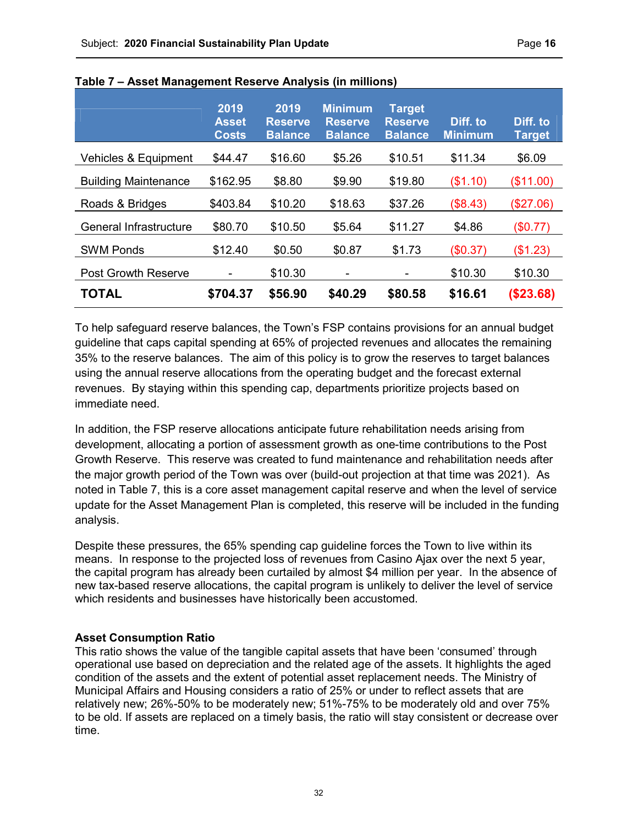|                             | 2019<br><b>Asset</b><br><b>Costs</b> | 2019<br><b>Reserve</b><br><b>Balance</b> | <b>Minimum</b><br><b>Reserve</b><br><b>Balance</b> | <b>Target</b><br><b>Reserve</b><br><b>Balance</b> | Diff. to<br><b>Minimum</b> | Diff. to<br><b>Target</b> |
|-----------------------------|--------------------------------------|------------------------------------------|----------------------------------------------------|---------------------------------------------------|----------------------------|---------------------------|
| Vehicles & Equipment        | \$44.47                              | \$16.60                                  | \$5.26                                             | \$10.51                                           | \$11.34                    | \$6.09                    |
| <b>Building Maintenance</b> | \$162.95                             | \$8.80                                   | \$9.90                                             | \$19.80                                           | (\$1.10)                   | (\$11.00)                 |
| Roads & Bridges             | \$403.84                             | \$10.20                                  | \$18.63                                            | \$37.26                                           | (\$8.43)                   | $(\$27.06)$               |
| General Infrastructure      | \$80.70                              | \$10.50                                  | \$5.64                                             | \$11.27                                           | \$4.86                     | \$0.77)                   |
| <b>SWM Ponds</b>            | \$12.40                              | \$0.50                                   | \$0.87                                             | \$1.73                                            | (\$0.37)                   | (\$1.23)                  |
| <b>Post Growth Reserve</b>  |                                      | \$10.30                                  |                                                    |                                                   | \$10.30                    | \$10.30                   |
| <b>TOTAL</b>                | \$704.37                             | \$56.90                                  | \$40.29                                            | \$80.58                                           | \$16.61                    | (\$23.68)                 |

#### Table 7 – Asset Management Reserve Analysis (in millions)

To help safeguard reserve balances, the Town's FSP contains provisions for an annual budget guideline that caps capital spending at 65% of projected revenues and allocates the remaining 35% to the reserve balances. The aim of this policy is to grow the reserves to target balances using the annual reserve allocations from the operating budget and the forecast external revenues. By staying within this spending cap, departments prioritize projects based on immediate need.

In addition, the FSP reserve allocations anticipate future rehabilitation needs arising from development, allocating a portion of assessment growth as one-time contributions to the Post Growth Reserve. This reserve was created to fund maintenance and rehabilitation needs after the major growth period of the Town was over (build-out projection at that time was 2021). As noted in Table 7, this is a core asset management capital reserve and when the level of service update for the Asset Management Plan is completed, this reserve will be included in the funding analysis.

Despite these pressures, the 65% spending cap guideline forces the Town to live within its means. In response to the projected loss of revenues from Casino Ajax over the next 5 year, the capital program has already been curtailed by almost \$4 million per year. In the absence of new tax-based reserve allocations, the capital program is unlikely to deliver the level of service which residents and businesses have historically been accustomed.

## Asset Consumption Ratio

This ratio shows the value of the tangible capital assets that have been 'consumed' through operational use based on depreciation and the related age of the assets. It highlights the aged condition of the assets and the extent of potential asset replacement needs. The Ministry of Municipal Affairs and Housing considers a ratio of 25% or under to reflect assets that are relatively new; 26%-50% to be moderately new; 51%-75% to be moderately old and over 75% to be old. If assets are replaced on a timely basis, the ratio will stay consistent or decrease over time.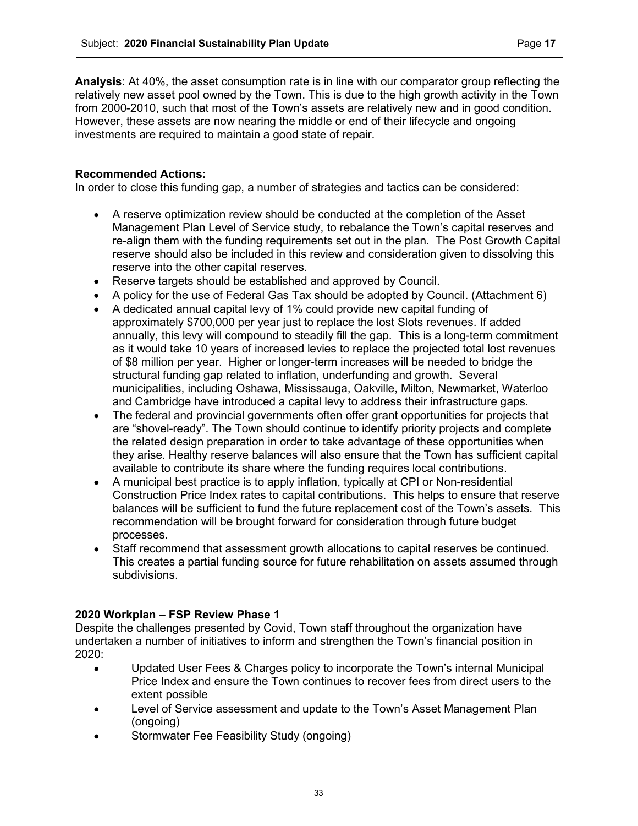Analysis: At 40%, the asset consumption rate is in line with our comparator group reflecting the relatively new asset pool owned by the Town. This is due to the high growth activity in the Town from 2000-2010, such that most of the Town's assets are relatively new and in good condition. However, these assets are now nearing the middle or end of their lifecycle and ongoing investments are required to maintain a good state of repair.

# Recommended Actions:

In order to close this funding gap, a number of strategies and tactics can be considered:

- A reserve optimization review should be conducted at the completion of the Asset Management Plan Level of Service study, to rebalance the Town's capital reserves and re-align them with the funding requirements set out in the plan. The Post Growth Capital reserve should also be included in this review and consideration given to dissolving this reserve into the other capital reserves.
- Reserve targets should be established and approved by Council.
- A policy for the use of Federal Gas Tax should be adopted by Council. (Attachment 6)
- A dedicated annual capital levy of 1% could provide new capital funding of approximately \$700,000 per year just to replace the lost Slots revenues. If added annually, this levy will compound to steadily fill the gap. This is a long-term commitment as it would take 10 years of increased levies to replace the projected total lost revenues of \$8 million per year. Higher or longer-term increases will be needed to bridge the structural funding gap related to inflation, underfunding and growth. Several municipalities, including Oshawa, Mississauga, Oakville, Milton, Newmarket, Waterloo and Cambridge have introduced a capital levy to address their infrastructure gaps.
- The federal and provincial governments often offer grant opportunities for projects that are "shovel-ready". The Town should continue to identify priority projects and complete the related design preparation in order to take advantage of these opportunities when they arise. Healthy reserve balances will also ensure that the Town has sufficient capital available to contribute its share where the funding requires local contributions.
- A municipal best practice is to apply inflation, typically at CPI or Non-residential Construction Price Index rates to capital contributions. This helps to ensure that reserve balances will be sufficient to fund the future replacement cost of the Town's assets. This recommendation will be brought forward for consideration through future budget processes.
- Staff recommend that assessment growth allocations to capital reserves be continued. This creates a partial funding source for future rehabilitation on assets assumed through subdivisions.

# 2020 Workplan – FSP Review Phase 1

Despite the challenges presented by Covid, Town staff throughout the organization have undertaken a number of initiatives to inform and strengthen the Town's financial position in 2020:

- Updated User Fees & Charges policy to incorporate the Town's internal Municipal  $\bullet$ Price Index and ensure the Town continues to recover fees from direct users to the extent possible
- Level of Service assessment and update to the Town's Asset Management Plan (ongoing)
- Stormwater Fee Feasibility Study (ongoing)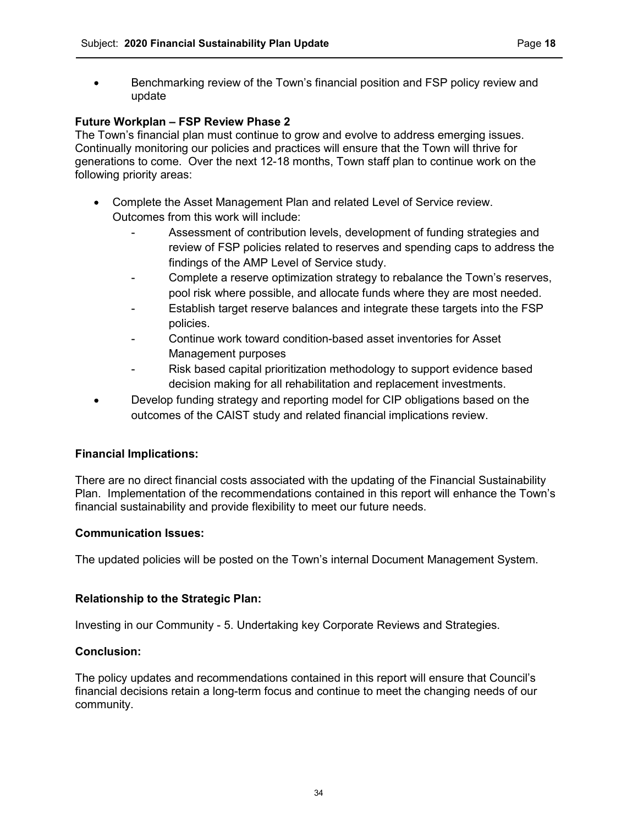Benchmarking review of the Town's financial position and FSP policy review and  $\bullet$ update

#### Future Workplan – FSP Review Phase 2

The Town's financial plan must continue to grow and evolve to address emerging issues. Continually monitoring our policies and practices will ensure that the Town will thrive for generations to come. Over the next 12-18 months, Town staff plan to continue work on the following priority areas:

- Complete the Asset Management Plan and related Level of Service review. Outcomes from this work will include:
	- Assessment of contribution levels, development of funding strategies and review of FSP policies related to reserves and spending caps to address the findings of the AMP Level of Service study.
	- Complete a reserve optimization strategy to rebalance the Town's reserves, pool risk where possible, and allocate funds where they are most needed.
	- Establish target reserve balances and integrate these targets into the FSP policies.
	- Continue work toward condition-based asset inventories for Asset Management purposes
	- Risk based capital prioritization methodology to support evidence based decision making for all rehabilitation and replacement investments.
- Develop funding strategy and reporting model for CIP obligations based on the outcomes of the CAIST study and related financial implications review.

## Financial Implications:

There are no direct financial costs associated with the updating of the Financial Sustainability Plan. Implementation of the recommendations contained in this report will enhance the Town's financial sustainability and provide flexibility to meet our future needs.

#### Communication Issues:

The updated policies will be posted on the Town's internal Document Management System.

#### Relationship to the Strategic Plan:

Investing in our Community - 5. Undertaking key Corporate Reviews and Strategies.

#### Conclusion:

The policy updates and recommendations contained in this report will ensure that Council's financial decisions retain a long-term focus and continue to meet the changing needs of our community.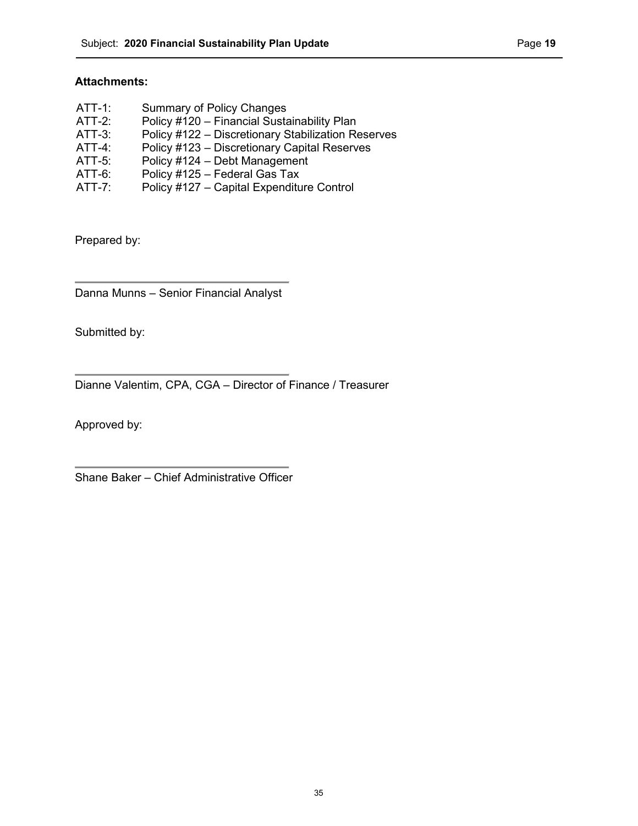#### Attachments:

- ATT-1: Summary of Policy Changes<br>ATT-2: Policy #120 Financial Susta ATT-2: Policy #120 – Financial Sustainability Plan<br>ATT-3: Policy #122 – Discretionary Stabilization Re ATT-3: Policy #122 – Discretionary Stabilization Reserves<br>ATT-4: Policy #123 – Discretionary Capital Reserves ATT-4: Policy #123 – Discretionary Capital Reserves<br>ATT-5: Policy #124 – Debt Management Policy #124 – Debt Management ATT-6: Policy #125 – Federal Gas Tax<br>ATT-7: Policy #127 – Capital Expenditu
- Policy #127 Capital Expenditure Control

Prepared by:

Danna Munns – Senior Financial Analyst

Submitted by:

Dianne Valentim, CPA, CGA – Director of Finance / Treasurer

Approved by:

Shane Baker – Chief Administrative Officer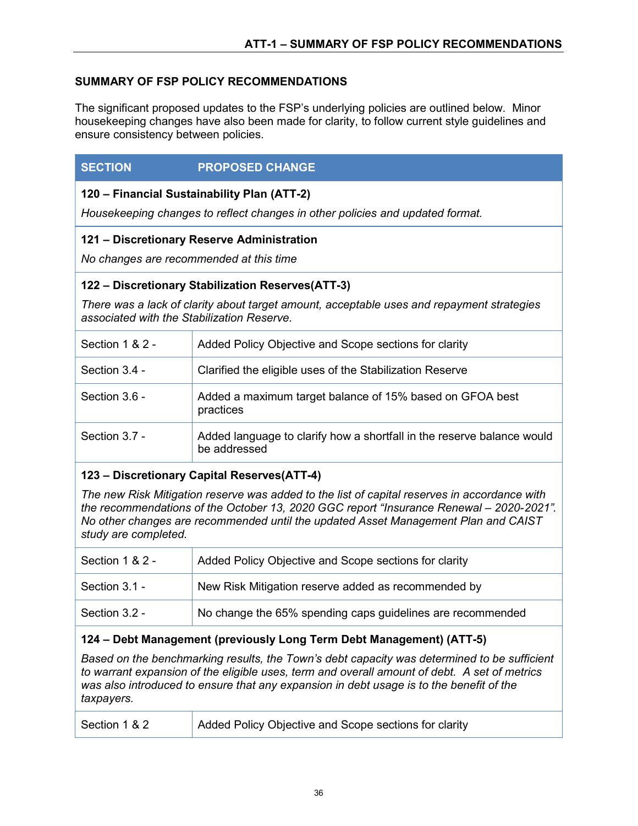# SUMMARY OF FSP POLICY RECOMMENDATIONS

The significant proposed updates to the FSP's underlying policies are outlined below. Minor housekeeping changes have also been made for clarity, to follow current style guidelines and ensure consistency between policies.

SECTION PROPOSED CHANGE

# 120 – Financial Sustainability Plan (ATT-2)

Housekeeping changes to reflect changes in other policies and updated format.

## 121 – Discretionary Reserve Administration

No changes are recommended at this time

# 122 – Discretionary Stabilization Reserves(ATT-3)

There was a lack of clarity about target amount, acceptable uses and repayment strategies associated with the Stabilization Reserve.

| Section 1 & 2 - | Added Policy Objective and Scope sections for clarity                                  |
|-----------------|----------------------------------------------------------------------------------------|
| Section 3.4 -   | Clarified the eligible uses of the Stabilization Reserve                               |
| Section 3.6 -   | Added a maximum target balance of 15% based on GFOA best<br>practices                  |
| Section 3.7 -   | Added language to clarify how a shortfall in the reserve balance would<br>be addressed |

# 123 – Discretionary Capital Reserves(ATT-4)

The new Risk Mitigation reserve was added to the list of capital reserves in accordance with the recommendations of the October 13, 2020 GGC report "Insurance Renewal – 2020-2021". No other changes are recommended until the updated Asset Management Plan and CAIST study are completed.

| Section 1 & 2 - | Added Policy Objective and Scope sections for clarity      |
|-----------------|------------------------------------------------------------|
| Section 3.1 -   | New Risk Mitigation reserve added as recommended by        |
| Section 3.2 -   | No change the 65% spending caps guidelines are recommended |

# 124 – Debt Management (previously Long Term Debt Management) (ATT-5)

Based on the benchmarking results, the Town's debt capacity was determined to be sufficient to warrant expansion of the eligible uses, term and overall amount of debt. A set of metrics was also introduced to ensure that any expansion in debt usage is to the benefit of the taxpayers.

| Section 1 & 2 | Added Policy Objective and Scope sections for clarity |
|---------------|-------------------------------------------------------|
|---------------|-------------------------------------------------------|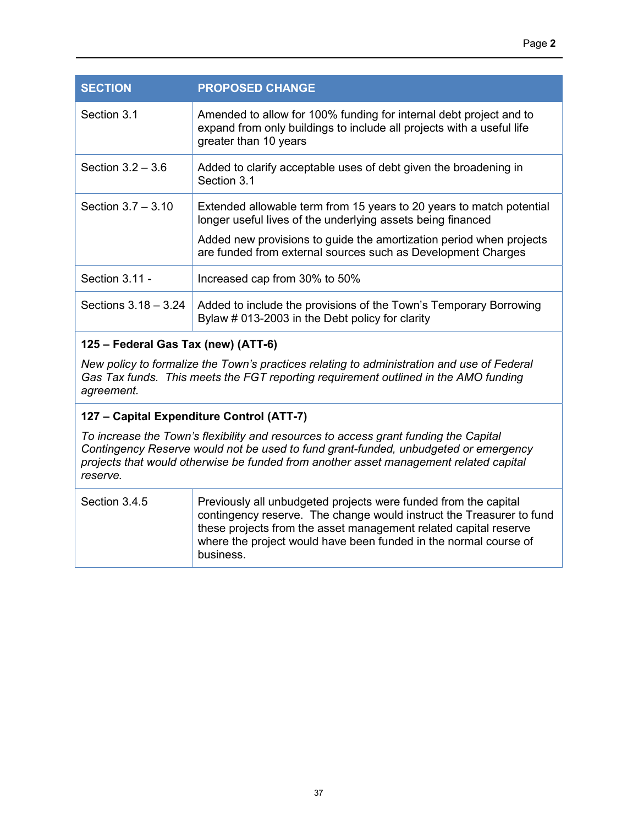| <b>SECTION</b>       | <b>PROPOSED CHANGE</b>                                                                                                                                               |
|----------------------|----------------------------------------------------------------------------------------------------------------------------------------------------------------------|
| Section 3.1          | Amended to allow for 100% funding for internal debt project and to<br>expand from only buildings to include all projects with a useful life<br>greater than 10 years |
| Section $3.2 - 3.6$  | Added to clarify acceptable uses of debt given the broadening in<br>Section 3.1                                                                                      |
| Section $3.7 - 3.10$ | Extended allowable term from 15 years to 20 years to match potential<br>longer useful lives of the underlying assets being financed                                  |
|                      | Added new provisions to guide the amortization period when projects<br>are funded from external sources such as Development Charges                                  |
| Section 3.11 -       | Increased cap from 30% to 50%                                                                                                                                        |
| Sections 3.18 - 3.24 | Added to include the provisions of the Town's Temporary Borrowing<br>Bylaw # 013-2003 in the Debt policy for clarity                                                 |

# 125 – Federal Gas Tax (new) (ATT-6)

New policy to formalize the Town's practices relating to administration and use of Federal Gas Tax funds. This meets the FGT reporting requirement outlined in the AMO funding agreement.

# 127 – Capital Expenditure Control (ATT-7)

To increase the Town's flexibility and resources to access grant funding the Capital Contingency Reserve would not be used to fund grant-funded, unbudgeted or emergency projects that would otherwise be funded from another asset management related capital reserve.

| Section 3.4.5 | Previously all unbudgeted projects were funded from the capital<br>contingency reserve. The change would instruct the Treasurer to fund<br>these projects from the asset management related capital reserve<br>where the project would have been funded in the normal course of<br>business. |
|---------------|----------------------------------------------------------------------------------------------------------------------------------------------------------------------------------------------------------------------------------------------------------------------------------------------|
|               |                                                                                                                                                                                                                                                                                              |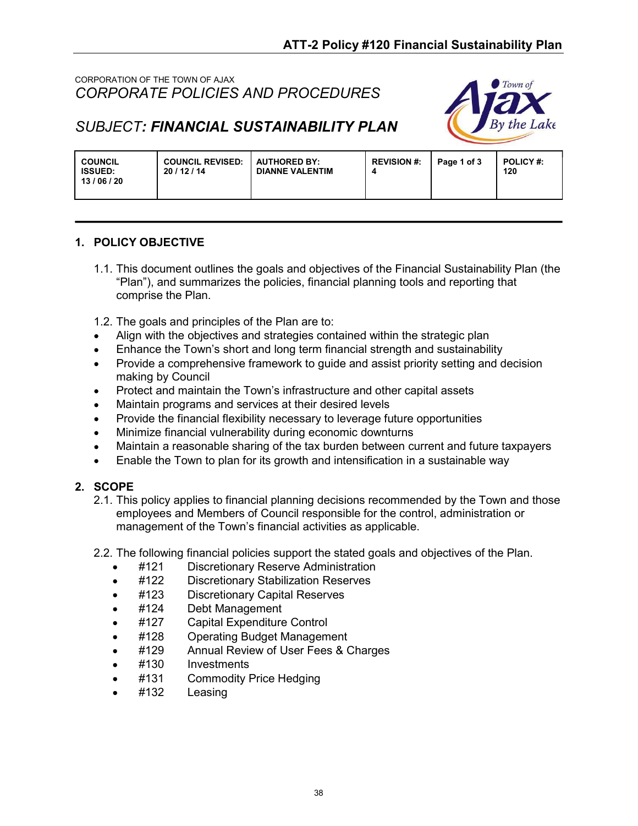

# SUBJECT: FINANCIAL SUSTAINABILITY PLAN

| <b>COUNCIL</b><br><b>COUNCIL REVISED:</b><br><b>AUTHORED BY:</b><br><b>ISSUED:</b><br><b>DIANNE VALENTIM</b><br>20/12/14<br>13/06/20 | <b>REVISION #:</b><br>д | Page 1 of 3 | <b>POLICY #:</b><br>120 |
|--------------------------------------------------------------------------------------------------------------------------------------|-------------------------|-------------|-------------------------|
|--------------------------------------------------------------------------------------------------------------------------------------|-------------------------|-------------|-------------------------|

# 1. POLICY OBJECTIVE

- 1.1. This document outlines the goals and objectives of the Financial Sustainability Plan (the "Plan"), and summarizes the policies, financial planning tools and reporting that comprise the Plan.
- 1.2. The goals and principles of the Plan are to:
- Align with the objectives and strategies contained within the strategic plan
- Enhance the Town's short and long term financial strength and sustainability  $\bullet$
- Provide a comprehensive framework to guide and assist priority setting and decision  $\bullet$ making by Council
- Protect and maintain the Town's infrastructure and other capital assets  $\bullet$
- Maintain programs and services at their desired levels  $\bullet$
- Provide the financial flexibility necessary to leverage future opportunities  $\bullet$
- Minimize financial vulnerability during economic downturns  $\bullet$
- Maintain a reasonable sharing of the tax burden between current and future taxpayers  $\bullet$
- Enable the Town to plan for its growth and intensification in a sustainable way

# 2. SCOPE

- 2.1. This policy applies to financial planning decisions recommended by the Town and those employees and Members of Council responsible for the control, administration or management of the Town's financial activities as applicable.
- 2.2. The following financial policies support the stated goals and objectives of the Plan.
	- #121 Discretionary Reserve Administration
	- #122 Discretionary Stabilization Reserves  $\bullet$
	- #123 Discretionary Capital Reserves
	- #124 Debt Management
	- #127 Capital Expenditure Control
	- #128 Operating Budget Management
	- #129 Annual Review of User Fees & Charges
	- #130 Investments
	- #131 Commodity Price Hedging
	- #132 Leasing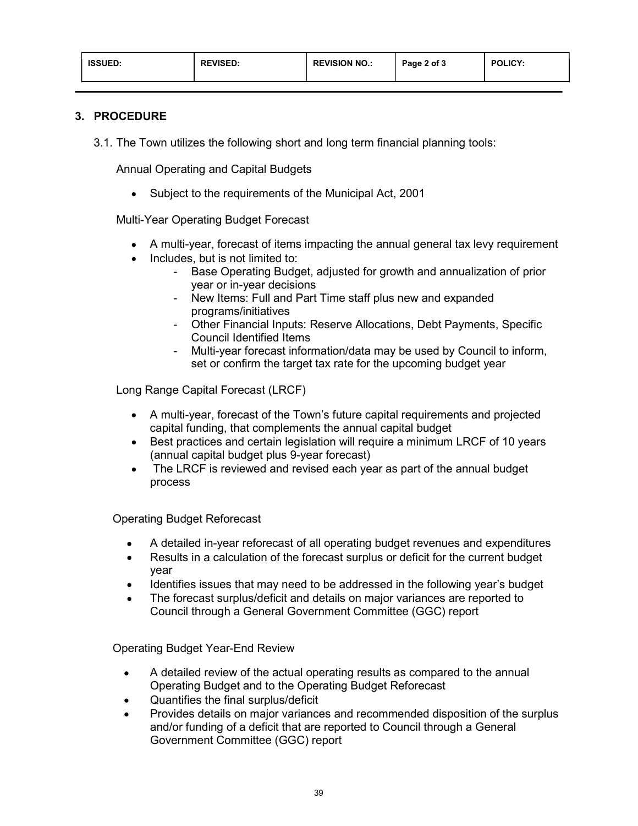| <b>ISSUED:</b> | <b>REVISED:</b> | <b>REVISION NO.:</b> | Page 2 of 3 | <b>POLICY:</b> |
|----------------|-----------------|----------------------|-------------|----------------|
|                |                 |                      |             |                |

# 3. PROCEDURE

3.1. The Town utilizes the following short and long term financial planning tools:

Annual Operating and Capital Budgets

Subject to the requirements of the Municipal Act, 2001

Multi-Year Operating Budget Forecast

- A multi-year, forecast of items impacting the annual general tax levy requirement
- Includes, but is not limited to:
	- Base Operating Budget, adjusted for growth and annualization of prior year or in-year decisions
	- New Items: Full and Part Time staff plus new and expanded programs/initiatives
	- Other Financial Inputs: Reserve Allocations, Debt Payments, Specific Council Identified Items
	- Multi-year forecast information/data may be used by Council to inform, set or confirm the target tax rate for the upcoming budget year

Long Range Capital Forecast (LRCF)

- A multi-year, forecast of the Town's future capital requirements and projected capital funding, that complements the annual capital budget
- Best practices and certain legislation will require a minimum LRCF of 10 years  $\bullet$ (annual capital budget plus 9-year forecast)
- The LRCF is reviewed and revised each year as part of the annual budget process

Operating Budget Reforecast

- A detailed in-year reforecast of all operating budget revenues and expenditures
- Results in a calculation of the forecast surplus or deficit for the current budget  $\bullet$ year
- Identifies issues that may need to be addressed in the following year's budget  $\bullet$
- The forecast surplus/deficit and details on major variances are reported to Council through a General Government Committee (GGC) report

Operating Budget Year-End Review

- A detailed review of the actual operating results as compared to the annual Operating Budget and to the Operating Budget Reforecast
- Quantifies the final surplus/deficit
- Provides details on major variances and recommended disposition of the surplus and/or funding of a deficit that are reported to Council through a General Government Committee (GGC) report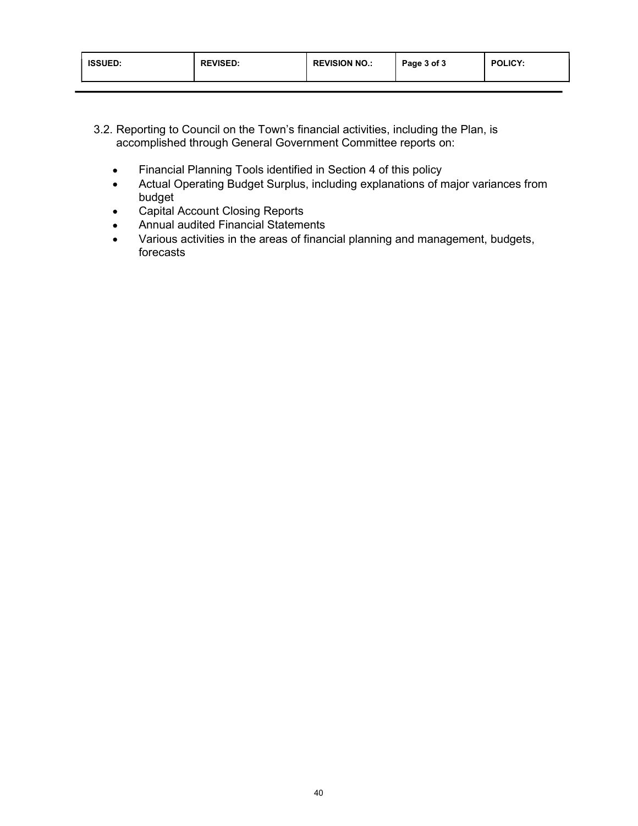| <b>ISSUED:</b> | <b>REVISED:</b> | <b>REVISION NO.:</b> | Page 3 of 3 | <b>POLICY:</b> |
|----------------|-----------------|----------------------|-------------|----------------|
|----------------|-----------------|----------------------|-------------|----------------|

- 3.2. Reporting to Council on the Town's financial activities, including the Plan, is accomplished through General Government Committee reports on:
	- Financial Planning Tools identified in Section 4 of this policy  $\bullet$
	- Actual Operating Budget Surplus, including explanations of major variances from  $\bullet$ budget
	- Capital Account Closing Reports  $\bullet$
	- Annual audited Financial Statements
	- Various activities in the areas of financial planning and management, budgets,  $\bullet$ forecasts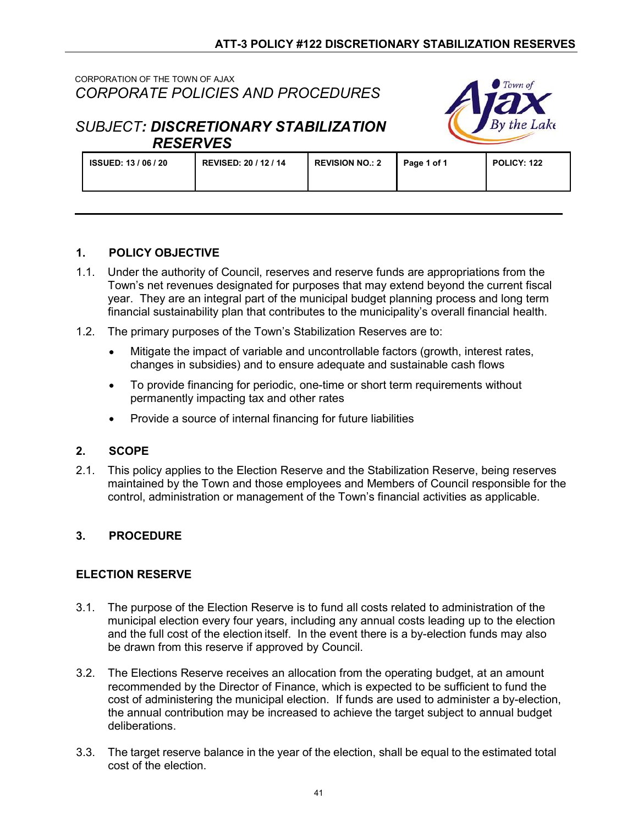

# SUBJECT: DISCRETIONARY STABILIZATION **RESERVES**

| <b>ISSUED: 13 / 06 / 20</b> | <b>REVISED: 20 / 12 / 14</b> | <b>REVISION NO.: 2</b> | Page 1 of 1 | POLICY: 122 |
|-----------------------------|------------------------------|------------------------|-------------|-------------|
|                             |                              |                        |             |             |

# 1. POLICY OBJECTIVE

- 1.1. Under the authority of Council, reserves and reserve funds are appropriations from the Town's net revenues designated for purposes that may extend beyond the current fiscal year. They are an integral part of the municipal budget planning process and long term financial sustainability plan that contributes to the municipality's overall financial health.
- 1.2. The primary purposes of the Town's Stabilization Reserves are to:
	- Mitigate the impact of variable and uncontrollable factors (growth, interest rates, changes in subsidies) and to ensure adequate and sustainable cash flows
	- To provide financing for periodic, one-time or short term requirements without permanently impacting tax and other rates
	- Provide a source of internal financing for future liabilities

## 2. SCOPE

2.1. This policy applies to the Election Reserve and the Stabilization Reserve, being reserves maintained by the Town and those employees and Members of Council responsible for the control, administration or management of the Town's financial activities as applicable.

## 3. PROCEDURE

## ELECTION RESERVE

- 3.1. The purpose of the Election Reserve is to fund all costs related to administration of the municipal election every four years, including any annual costs leading up to the election and the full cost of the election itself. In the event there is a by-election funds may also be drawn from this reserve if approved by Council.
- 3.2. The Elections Reserve receives an allocation from the operating budget, at an amount recommended by the Director of Finance, which is expected to be sufficient to fund the cost of administering the municipal election. If funds are used to administer a by-election, the annual contribution may be increased to achieve the target subject to annual budget deliberations.
- 3.3. The target reserve balance in the year of the election, shall be equal to the estimated total cost of the election.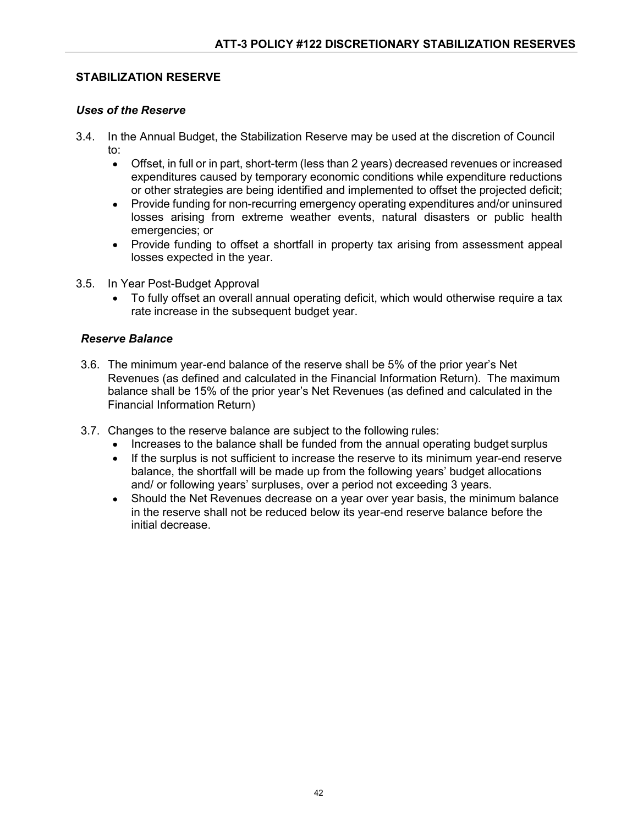# STABILIZATION RESERVE

# Uses of the Reserve

- 3.4. In the Annual Budget, the Stabilization Reserve may be used at the discretion of Council to:
	- Offset, in full or in part, short-term (less than 2 years) decreased revenues or increased expenditures caused by temporary economic conditions while expenditure reductions or other strategies are being identified and implemented to offset the projected deficit;
	- Provide funding for non-recurring emergency operating expenditures and/or uninsured losses arising from extreme weather events, natural disasters or public health emergencies; or
	- Provide funding to offset a shortfall in property tax arising from assessment appeal losses expected in the year.
- 3.5. In Year Post-Budget Approval
	- To fully offset an overall annual operating deficit, which would otherwise require a tax rate increase in the subsequent budget year.

# Reserve Balance

- 3.6. The minimum year-end balance of the reserve shall be 5% of the prior year's Net Revenues (as defined and calculated in the Financial Information Return). The maximum balance shall be 15% of the prior year's Net Revenues (as defined and calculated in the Financial Information Return)
- 3.7. Changes to the reserve balance are subject to the following rules:
	- Increases to the balance shall be funded from the annual operating budget surplus
	- If the surplus is not sufficient to increase the reserve to its minimum year-end reserve balance, the shortfall will be made up from the following years' budget allocations and/ or following years' surpluses, over a period not exceeding 3 years.
	- Should the Net Revenues decrease on a year over year basis, the minimum balance  $\bullet$ in the reserve shall not be reduced below its year-end reserve balance before the initial decrease.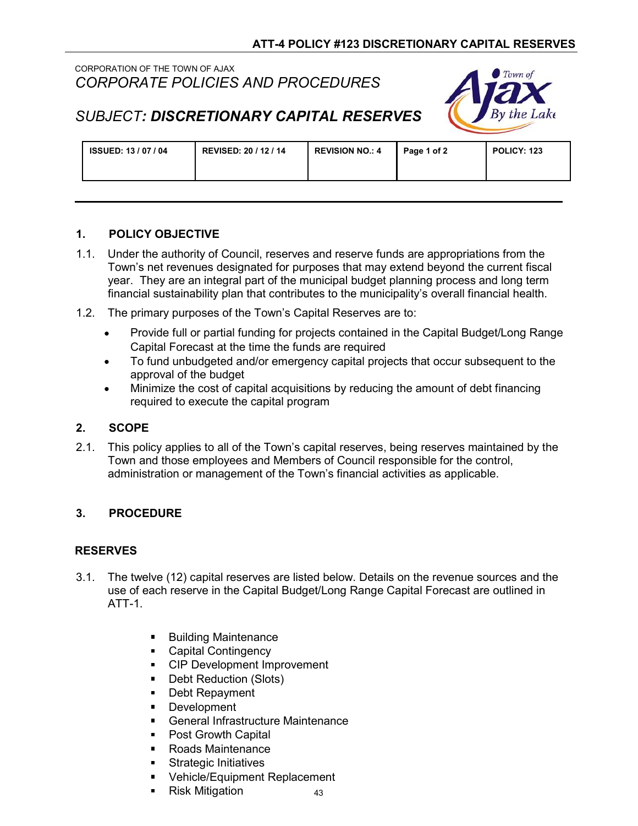# SUBJECT: DISCRETIONARY CAPITAL RESERVES



| <b>ISSUED: 13/07/04</b> | <b>REVISED: 20 / 12 / 14</b> | <b>REVISION NO.: 4</b> | Page 1 of 2 | POLICY: 123 |
|-------------------------|------------------------------|------------------------|-------------|-------------|
|                         |                              |                        |             |             |

# 1. POLICY OBJECTIVE

- 1.1. Under the authority of Council, reserves and reserve funds are appropriations from the Town's net revenues designated for purposes that may extend beyond the current fiscal year. They are an integral part of the municipal budget planning process and long term financial sustainability plan that contributes to the municipality's overall financial health.
- 1.2. The primary purposes of the Town's Capital Reserves are to:
	- Provide full or partial funding for projects contained in the Capital Budget/Long Range Capital Forecast at the time the funds are required
	- To fund unbudgeted and/or emergency capital projects that occur subsequent to the approval of the budget
	- Minimize the cost of capital acquisitions by reducing the amount of debt financing required to execute the capital program

# 2. SCOPE

2.1. This policy applies to all of the Town's capital reserves, being reserves maintained by the Town and those employees and Members of Council responsible for the control, administration or management of the Town's financial activities as applicable.

# 3. PROCEDURE

# **RESERVES**

- 3.1. The twelve (12) capital reserves are listed below. Details on the revenue sources and the use of each reserve in the Capital Budget/Long Range Capital Forecast are outlined in ATT-1.
	- Building Maintenance  $\blacksquare$  .
	- Capital Contingency
	- **CIP Development Improvement**
	- $\mathbf{u}$ Debt Reduction (Slots)
	- $\mathbf{u}$ Debt Repayment
	- Development  $\blacksquare$
	- General Infrastructure Maintenance  $\mathbf{m}$  .
	- Post Growth Capital  $\blacksquare$  .
	- Roads Maintenance  $\blacksquare$
	- Strategic Initiatives  $\blacksquare$  .
	- $\mathbf{u}$ Vehicle/Equipment Replacement
	- Risk Mitigation 43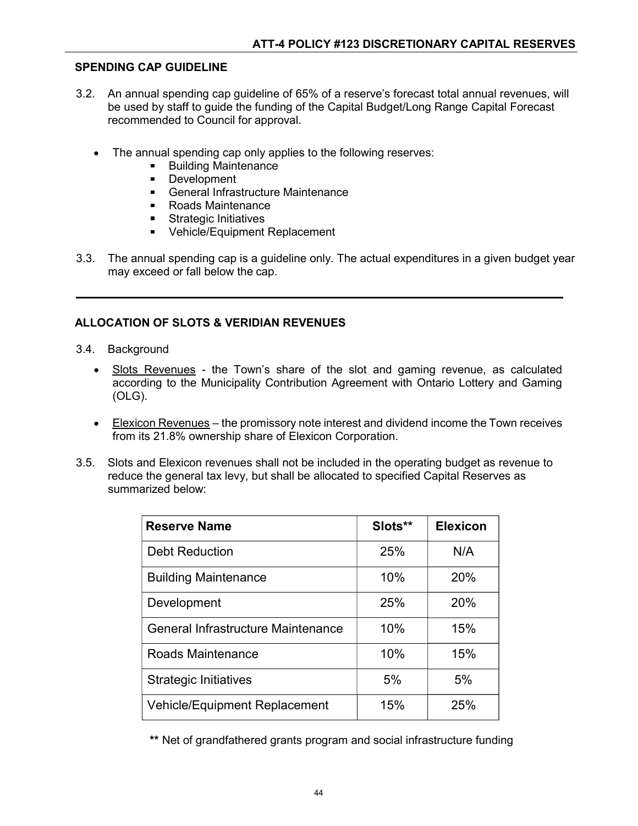# SPENDING CAP GUIDELINE

- 3.2. An annual spending cap guideline of 65% of a reserve's forecast total annual revenues, will be used by staff to guide the funding of the Capital Budget/Long Range Capital Forecast recommended to Council for approval.
	- The annual spending cap only applies to the following reserves:
		- **Building Maintenance**
		- **Development**
		- **EXEC** General Infrastructure Maintenance
		- Roads Maintenance
		- **Strategic Initiatives**
		- **Vehicle/Equipment Replacement**
- 3.3. The annual spending cap is a guideline only. The actual expenditures in a given budget year may exceed or fall below the cap.

# ALLOCATION OF SLOTS & VERIDIAN REVENUES

- 3.4. Background
	- Slots Revenues the Town's share of the slot and gaming revenue, as calculated according to the Municipality Contribution Agreement with Ontario Lottery and Gaming (OLG).
	- Elexicon Revenues the promissory note interest and dividend income the Town receives from its 21.8% ownership share of Elexicon Corporation.
- 3.5. Slots and Elexicon revenues shall not be included in the operating budget as revenue to reduce the general tax levy, but shall be allocated to specified Capital Reserves as summarized below:

| <b>Reserve Name</b>                  | Slots** | <b>Elexicon</b> |
|--------------------------------------|---------|-----------------|
| <b>Debt Reduction</b>                | 25%     | N/A             |
| <b>Building Maintenance</b>          | 10%     | 20%             |
| Development                          | 25%     | 20%             |
| General Infrastructure Maintenance   | 10%     | 15%             |
| Roads Maintenance                    | 10%     | 15%             |
| <b>Strategic Initiatives</b>         | 5%      | 5%              |
| <b>Vehicle/Equipment Replacement</b> | 15%     | 25%             |

\*\* Net of grandfathered grants program and social infrastructure funding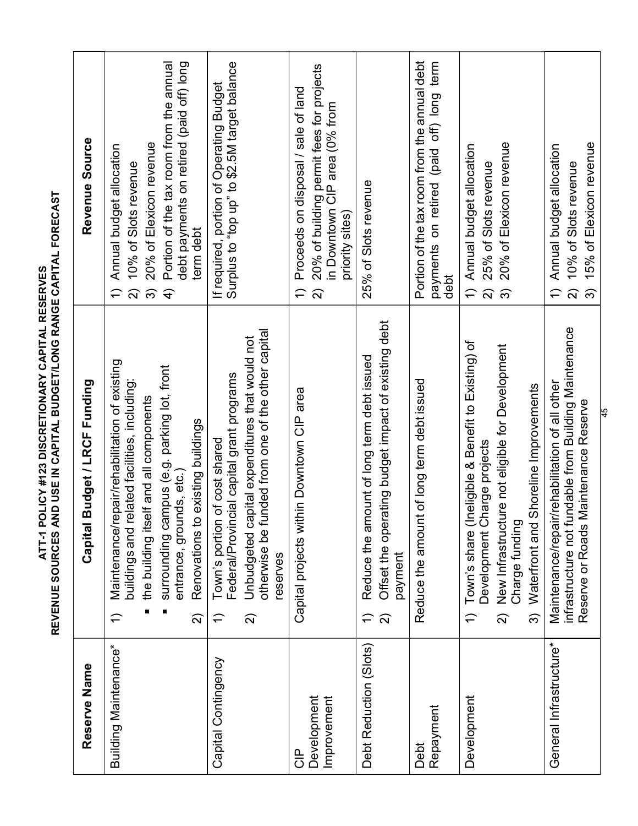| Reserve Name                      | Capital Budget / LRCF Funding                                                                                                                                                                                                                                                           | Revenue Source                                                                                                                                                                                                                                              |
|-----------------------------------|-----------------------------------------------------------------------------------------------------------------------------------------------------------------------------------------------------------------------------------------------------------------------------------------|-------------------------------------------------------------------------------------------------------------------------------------------------------------------------------------------------------------------------------------------------------------|
| Building Maintenance*             | Maintenance/repair/rehabilitation of existing<br>surrounding campus (e.g. parking lot, front<br>buildings and related facilities, including:<br>the building itself and all components<br>Renovations to existing buildings<br>entrance, grounds, etc.)<br>$\overline{\mathbf{r}}$<br>ର | Portion of the tax room from the annual<br>debt payments on retired (paid off) long<br>20% of Elexicon revenue<br>Annual budget allocation<br>10% of Slots revenue<br>term debt<br>$\widehat{\mathcal{L}}$<br>$\widehat{+}$<br>ၐ<br>$\widehat{\mathcal{N}}$ |
| Capital Contingency               | Unbudgeted capital expenditures that would not<br>otherwise be funded from one of the other capital<br>Federal/Provincial capital grant programs<br>Town's portion of cost shared<br>reserves<br>$\widehat{\mathcal{L}}$<br>ର                                                           | Surplus to "top up" to \$2.5M target balance<br>If required, portion of Operating Budget                                                                                                                                                                    |
| Development<br>Improvement<br>ូមិ | Capital projects within Downtown CIP area                                                                                                                                                                                                                                               | 20% of building permit fees for projects<br>in Downtown CIP area (0% from<br>Proceeds on disposal / sale of land<br>priority sites)<br>$\widehat{\mathbf{t}}$<br>ର                                                                                          |
| Debt Reduction (Slots)            | Offset the operating budget impact of existing debt<br>Reduce the amount of long term debt issued<br>payment<br>$\overline{\mathbf{r}}$<br>$\widehat{\infty}$                                                                                                                           | 25% of Slots revenue                                                                                                                                                                                                                                        |
| Repayment<br>Debt                 | Reduce the amount of long term debt issued                                                                                                                                                                                                                                              | Portion of the tax room from the annual debt<br>term<br>payments on retired (paid off) long<br>debt                                                                                                                                                         |
| Development                       | Town's share (Ineligible & Benefit to Existing) of<br>Development Charge projects<br>New Infrastructure not eligible for Development<br>Waterfront and Shoreline Improvements<br>Charge funding<br>ခြ<br>$\widehat{\mathcal{L}}$<br>$\widehat{\mathcal{N}}$                             | 20% of Elexicon revenue<br>Annual budget allocation<br>25% of Slots revenue<br>$\hat{+}$<br>$\widehat{\infty}$<br>$\widehat{\mathcal{N}}$                                                                                                                   |
| General Infrastructure*           | infrastructure not fundable from Building Maintenance<br>Maintenance/repair/rehabilitation of all other<br>Reserve or Roads Maintenance Reserve                                                                                                                                         | 15% of Elexicon revenue<br>Annual budget allocation<br>10% of Slots revenue<br>$\hat{=}$<br>၈<br>$\widehat{\mathcal{N}}$                                                                                                                                    |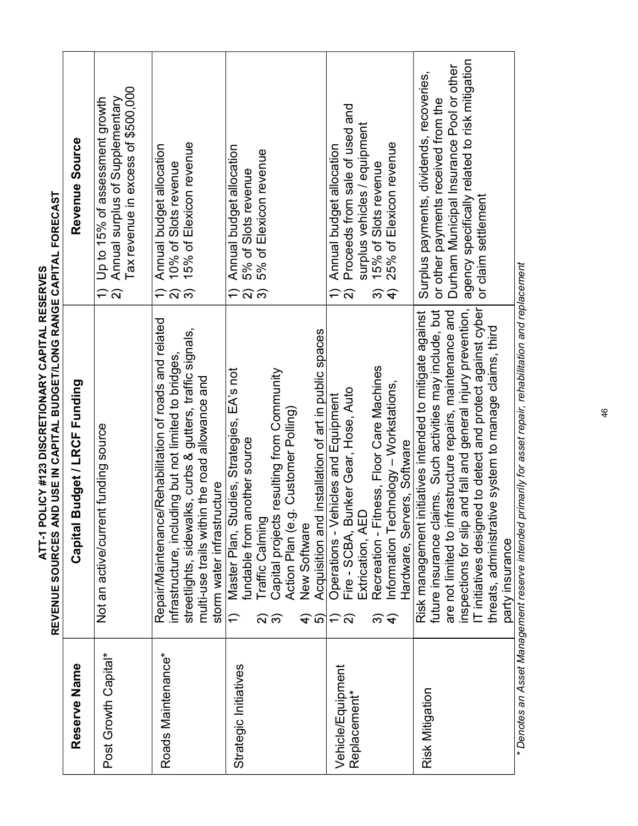| Reserve Name                      | Capital Budget / LRCF Funding                                                                                                                                                                                                                                                                                                                                                                   | Revenue Source                                                                                                                                                                                                                                           |
|-----------------------------------|-------------------------------------------------------------------------------------------------------------------------------------------------------------------------------------------------------------------------------------------------------------------------------------------------------------------------------------------------------------------------------------------------|----------------------------------------------------------------------------------------------------------------------------------------------------------------------------------------------------------------------------------------------------------|
| Post Growth Capital*              | Not an active/current funding source                                                                                                                                                                                                                                                                                                                                                            | Tax revenue in excess of \$500,000<br>Up to 15% of assessment growth<br>Annual surplus of Supplementary<br>$\widehat{\mathbf{t}}$<br>$\widehat{\mathcal{L}}$                                                                                             |
| Roads Maintenance*                | Repair/Maintenance/Rehabilitation of roads and related<br>streetlights, sidewalks, curbs & gutters, traffic signals,<br>infrastructure, including but not limited to bridges,<br>multi-use trails within the road allowance and<br>storm water infrastructure                                                                                                                                   | 15% of Elexicon revenue<br>Annual budget allocation<br>10% of Slots revenue<br>$\overline{\phantom{0}}$<br>$\widehat{\infty}$<br>$\widehat{\mathsf{S}}$                                                                                                  |
| Strategic Initiatives             | Acquisition and installation of art in public spaces<br>Master Plan, Studies, Strategies, EA's not<br>Capital projects resulting from Community<br>Action Plan (e.g. Customer Polling)<br>fundable from another source<br>Traffic Calming<br>New Software<br>$\hat{=}$<br>$\widehat{\mathcal{N}}$<br>$\widehat{\mathbf{f}}$<br>ခြ<br>စြ                                                         | Annual budget allocation<br>5% of Elexicon revenue<br>5% of Slots revenue<br>$\widehat{\mathbf{t}}$<br>ର ଚ                                                                                                                                               |
| Vehicle/Equipment<br>Replacement* | Recreation - Fitness, Floor Care Machines<br>Information Technology - Workstations,<br>Fire - SCBA, Bunker Gear, Hose, Auto<br>Operations - Vehicles and Equipment<br>Hardware, Servers, Software<br>Extrication, AED<br>$\widehat{+}$<br>$\widehat{\mathbf{z}}$<br><u> က</u><br>$\ominus$                                                                                                      | Proceeds from sale of used and<br>surplus vehicles / equipment<br>25% of Elexicon revenue<br>Annual budget allocation<br>15% of Slots revenue<br>ၐ<br>$\widehat{+}$<br>$\widehat{\mathord{\hspace{1pt}\text{--}\hspace{1pt}}}$<br>$\widehat{\mathsf{c}}$ |
| Risk Mitigation                   | IT initiatives designed to detect and protect against cyber<br>inspections for slip and fall and general injury prevention,<br>future insurance claims. Such activities may include, but<br>are not limited to infrastructure repairs, maintenance and<br>Risk management initiatives intended to mitigate against<br>threats, administrative system to manage claims, third<br>party insurance | agency specifically related to risk mitigation<br>Durham Municipal Insurance Pool or other<br>Surplus payments, dividends, recoveries,<br>or other payments received from the<br>or claim settlement                                                     |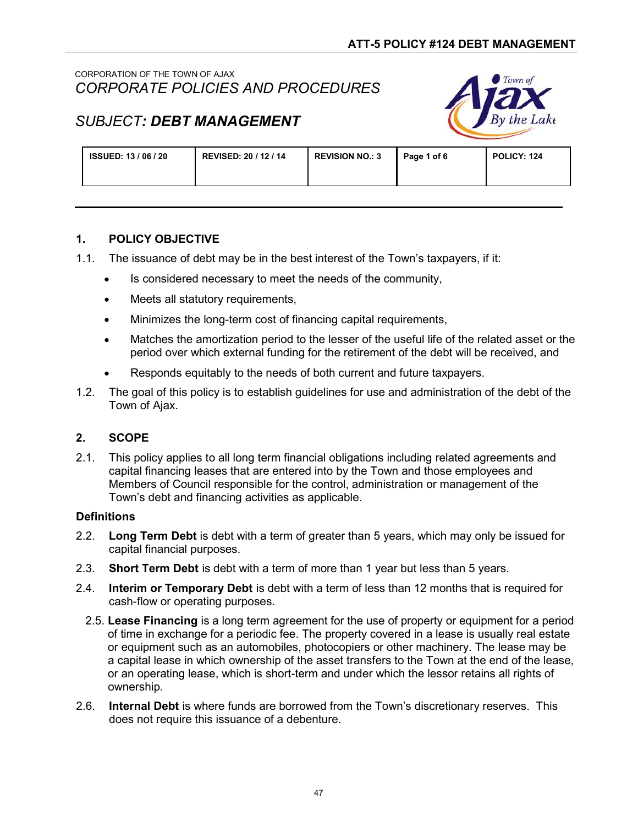# SUBJECT: DEBT MANAGEMENT



| <b>ISSUED: 13/06/20</b> | <b>REVISED: 20 / 12 / 14</b> | <b>REVISION NO.: 3</b> | Page 1 of 6 | POLICY: 124 |
|-------------------------|------------------------------|------------------------|-------------|-------------|
|-------------------------|------------------------------|------------------------|-------------|-------------|

# 1. POLICY OBJECTIVE

- 1.1. The issuance of debt may be in the best interest of the Town's taxpayers, if it:
	- Is considered necessary to meet the needs of the community,
	- Meets all statutory requirements,  $\bullet$
	- Minimizes the long-term cost of financing capital requirements,
	- Matches the amortization period to the lesser of the useful life of the related asset or the period over which external funding for the retirement of the debt will be received, and
	- Responds equitably to the needs of both current and future taxpayers.
- 1.2. The goal of this policy is to establish guidelines for use and administration of the debt of the Town of Ajax.

## 2. SCOPE

2.1. This policy applies to all long term financial obligations including related agreements and capital financing leases that are entered into by the Town and those employees and Members of Council responsible for the control, administration or management of the Town's debt and financing activities as applicable.

## **Definitions**

- 2.2. Long Term Debt is debt with a term of greater than 5 years, which may only be issued for capital financial purposes.
- 2.3. Short Term Debt is debt with a term of more than 1 year but less than 5 years.
- 2.4. Interim or Temporary Debt is debt with a term of less than 12 months that is required for cash-flow or operating purposes.
	- 2.5. Lease Financing is a long term agreement for the use of property or equipment for a period of time in exchange for a periodic fee. The property covered in a lease is usually real estate or equipment such as an automobiles, photocopiers or other machinery. The lease may be a capital lease in which ownership of the asset transfers to the Town at the end of the lease, or an operating lease, which is short-term and under which the lessor retains all rights of ownership.
- 2.6. Internal Debt is where funds are borrowed from the Town's discretionary reserves. This does not require this issuance of a debenture.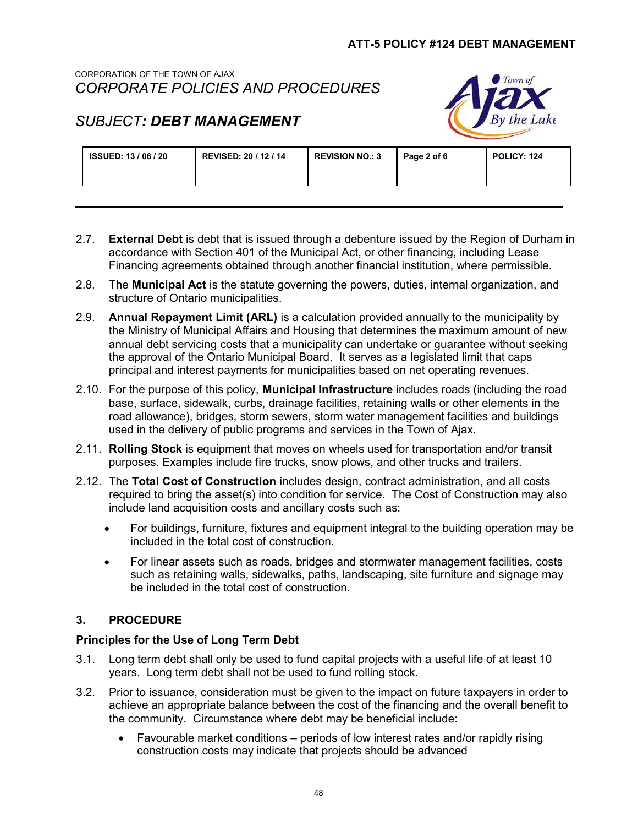# SUBJECT: DEBT MANAGEMENT



| <b>ISSUED: 13 / 06 / 20</b> | <b>REVISED: 20 / 12 / 14</b> | <b>REVISION NO.: 3</b> | Page 2 of 6 | POLICY: 124 |
|-----------------------------|------------------------------|------------------------|-------------|-------------|
|                             |                              |                        |             |             |

- 2.7. **External Debt** is debt that is issued through a debenture issued by the Region of Durham in accordance with Section 401 of the Municipal Act, or other financing, including Lease Financing agreements obtained through another financial institution, where permissible.
- 2.8. The **Municipal Act** is the statute governing the powers, duties, internal organization, and structure of Ontario municipalities.
- 2.9. Annual Repayment Limit (ARL) is a calculation provided annually to the municipality by the Ministry of Municipal Affairs and Housing that determines the maximum amount of new annual debt servicing costs that a municipality can undertake or guarantee without seeking the approval of the Ontario Municipal Board. It serves as a legislated limit that caps principal and interest payments for municipalities based on net operating revenues.
- 2.10. For the purpose of this policy, Municipal Infrastructure includes roads (including the road base, surface, sidewalk, curbs, drainage facilities, retaining walls or other elements in the road allowance), bridges, storm sewers, storm water management facilities and buildings used in the delivery of public programs and services in the Town of Ajax.
- 2.11. **Rolling Stock** is equipment that moves on wheels used for transportation and/or transit purposes. Examples include fire trucks, snow plows, and other trucks and trailers.
- 2.12. The Total Cost of Construction includes design, contract administration, and all costs required to bring the asset(s) into condition for service. The Cost of Construction may also include land acquisition costs and ancillary costs such as:
	- For buildings, furniture, fixtures and equipment integral to the building operation may be  $\bullet$ included in the total cost of construction.
	- For linear assets such as roads, bridges and stormwater management facilities, costs such as retaining walls, sidewalks, paths, landscaping, site furniture and signage may be included in the total cost of construction.

# 3. PROCEDURE

## Principles for the Use of Long Term Debt

- 3.1. Long term debt shall only be used to fund capital projects with a useful life of at least 10 years. Long term debt shall not be used to fund rolling stock.
- 3.2. Prior to issuance, consideration must be given to the impact on future taxpayers in order to achieve an appropriate balance between the cost of the financing and the overall benefit to the community. Circumstance where debt may be beneficial include:
	- Favourable market conditions periods of low interest rates and/or rapidly rising construction costs may indicate that projects should be advanced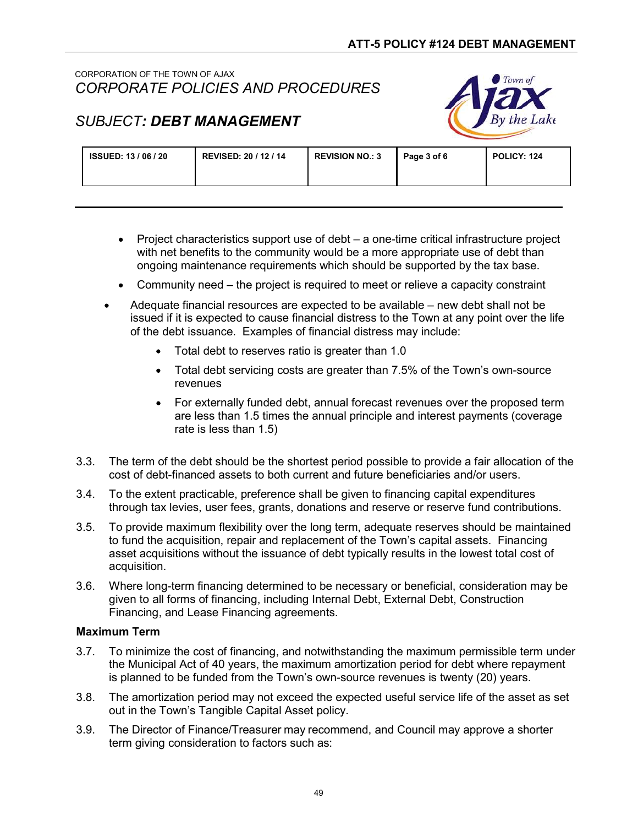# SUBJECT: DEBT MANAGEMENT



| <b>ISSUED: 13/06/20</b> | <b>REVISED: 20 / 12 / 14</b> | <b>REVISION NO.: 3</b> | Page 3 of 6 | POLICY: 124 |
|-------------------------|------------------------------|------------------------|-------------|-------------|
|-------------------------|------------------------------|------------------------|-------------|-------------|

- Project characteristics support use of debt a one-time critical infrastructure project with net benefits to the community would be a more appropriate use of debt than ongoing maintenance requirements which should be supported by the tax base.
- Community need the project is required to meet or relieve a capacity constraint
- Adequate financial resources are expected to be available new debt shall not be  $\bullet$ issued if it is expected to cause financial distress to the Town at any point over the life of the debt issuance. Examples of financial distress may include:
	- Total debt to reserves ratio is greater than 1.0
	- Total debt servicing costs are greater than 7.5% of the Town's own-source revenues
	- For externally funded debt, annual forecast revenues over the proposed term are less than 1.5 times the annual principle and interest payments (coverage rate is less than 1.5)
- 3.3. The term of the debt should be the shortest period possible to provide a fair allocation of the cost of debt-financed assets to both current and future beneficiaries and/or users.
- 3.4. To the extent practicable, preference shall be given to financing capital expenditures through tax levies, user fees, grants, donations and reserve or reserve fund contributions.
- 3.5. To provide maximum flexibility over the long term, adequate reserves should be maintained to fund the acquisition, repair and replacement of the Town's capital assets. Financing asset acquisitions without the issuance of debt typically results in the lowest total cost of acquisition.
- 3.6. Where long-term financing determined to be necessary or beneficial, consideration may be given to all forms of financing, including Internal Debt, External Debt, Construction Financing, and Lease Financing agreements.

## Maximum Term

- 3.7. To minimize the cost of financing, and notwithstanding the maximum permissible term under the Municipal Act of 40 years, the maximum amortization period for debt where repayment is planned to be funded from the Town's own-source revenues is twenty (20) years.
- 3.8. The amortization period may not exceed the expected useful service life of the asset as set out in the Town's Tangible Capital Asset policy.
- 3.9. The Director of Finance/Treasurer may recommend, and Council may approve a shorter term giving consideration to factors such as: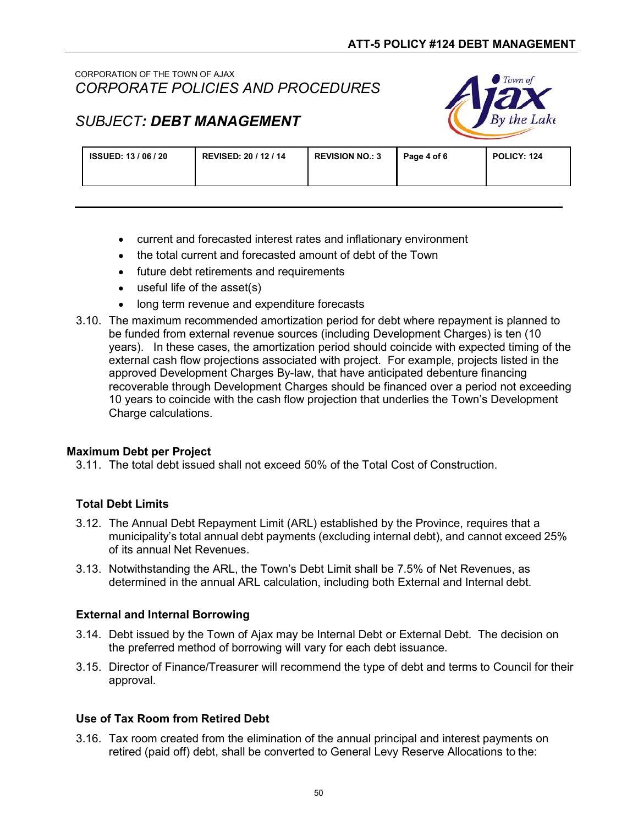# SUBJECT: DEBT MANAGEMENT



| <b>ISSUED: 13/06/20</b> | <b>REVISED: 20 / 12 / 14</b> | <b>REVISION NO.: 3</b> | Page 4 of 6 | <b>POLICY: 124</b> |
|-------------------------|------------------------------|------------------------|-------------|--------------------|
|                         |                              |                        |             |                    |

- current and forecasted interest rates and inflationary environment  $\bullet$
- the total current and forecasted amount of debt of the Town
- future debt retirements and requirements
- useful life of the asset(s)
- long term revenue and expenditure forecasts
- 3.10. The maximum recommended amortization period for debt where repayment is planned to be funded from external revenue sources (including Development Charges) is ten (10 years). In these cases, the amortization period should coincide with expected timing of the external cash flow projections associated with project. For example, projects listed in the approved Development Charges By-law, that have anticipated debenture financing recoverable through Development Charges should be financed over a period not exceeding 10 years to coincide with the cash flow projection that underlies the Town's Development Charge calculations.

# Maximum Debt per Project

3.11. The total debt issued shall not exceed 50% of the Total Cost of Construction.

# Total Debt Limits

- 3.12. The Annual Debt Repayment Limit (ARL) established by the Province, requires that a municipality's total annual debt payments (excluding internal debt), and cannot exceed 25% of its annual Net Revenues.
- 3.13. Notwithstanding the ARL, the Town's Debt Limit shall be 7.5% of Net Revenues, as determined in the annual ARL calculation, including both External and Internal debt.

# External and Internal Borrowing

- 3.14. Debt issued by the Town of Ajax may be Internal Debt or External Debt. The decision on the preferred method of borrowing will vary for each debt issuance.
- 3.15. Director of Finance/Treasurer will recommend the type of debt and terms to Council for their approval.

# Use of Tax Room from Retired Debt

3.16. Tax room created from the elimination of the annual principal and interest payments on retired (paid off) debt, shall be converted to General Levy Reserve Allocations to the: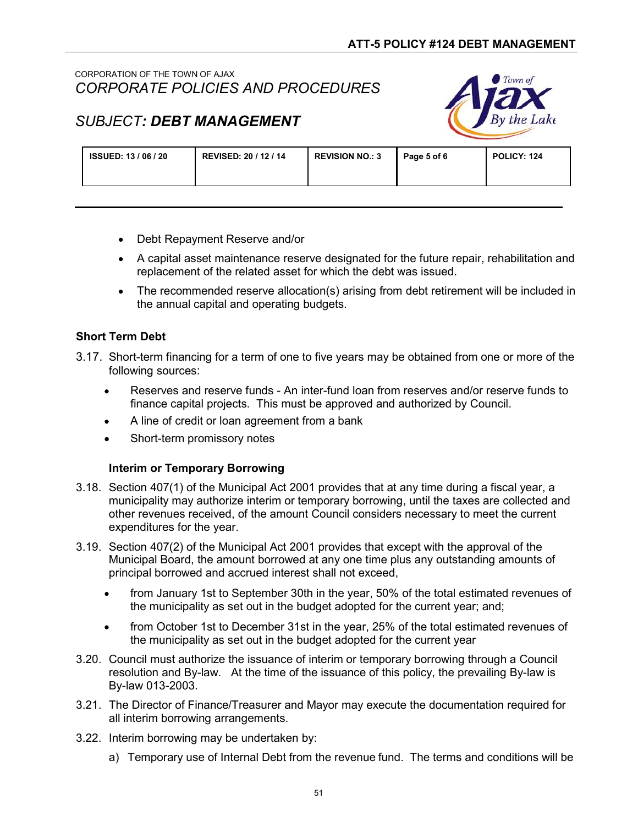# SUBJECT: DEBT MANAGEMENT



| <b>ISSUED: 13 / 06 / 20</b><br><b>REVISED: 20 / 12 / 14</b> | <b>REVISION NO.: 3</b> | Page 5 of 6 | POLICY: 124 |
|-------------------------------------------------------------|------------------------|-------------|-------------|
|-------------------------------------------------------------|------------------------|-------------|-------------|

- Debt Repayment Reserve and/or
- A capital asset maintenance reserve designated for the future repair, rehabilitation and replacement of the related asset for which the debt was issued.
- The recommended reserve allocation(s) arising from debt retirement will be included in the annual capital and operating budgets.

# Short Term Debt

- 3.17. Short-term financing for a term of one to five years may be obtained from one or more of the following sources:
	- Reserves and reserve funds An inter-fund loan from reserves and/or reserve funds to  $\bullet$ finance capital projects. This must be approved and authorized by Council.
	- A line of credit or loan agreement from a bank
	- Short-term promissory notes

## Interim or Temporary Borrowing

- 3.18. Section 407(1) of the Municipal Act 2001 provides that at any time during a fiscal year, a municipality may authorize interim or temporary borrowing, until the taxes are collected and other revenues received, of the amount Council considers necessary to meet the current expenditures for the year.
- 3.19. Section 407(2) of the Municipal Act 2001 provides that except with the approval of the Municipal Board, the amount borrowed at any one time plus any outstanding amounts of principal borrowed and accrued interest shall not exceed,
	- from January 1st to September 30th in the year, 50% of the total estimated revenues of  $\bullet$ the municipality as set out in the budget adopted for the current year; and;
	- from October 1st to December 31st in the year, 25% of the total estimated revenues of the municipality as set out in the budget adopted for the current year
- 3.20. Council must authorize the issuance of interim or temporary borrowing through a Council resolution and By-law. At the time of the issuance of this policy, the prevailing By-law is By-law 013-2003.
- 3.21. The Director of Finance/Treasurer and Mayor may execute the documentation required for all interim borrowing arrangements.
- 3.22. Interim borrowing may be undertaken by:
	- a) Temporary use of Internal Debt from the revenue fund. The terms and conditions will be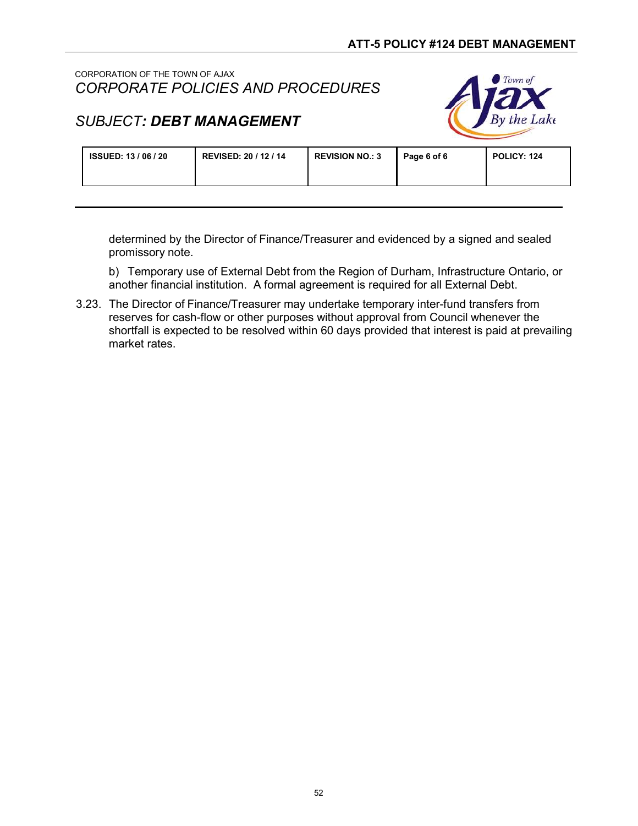# SUBJECT: DEBT MANAGEMENT



| <b>ISSUED: 13 / 06 / 20</b> | <b>REVISED: 20 / 12 / 14</b> | <b>REVISION NO.: 3</b> | Page 6 of 6 | POLICY: 124 |
|-----------------------------|------------------------------|------------------------|-------------|-------------|
|                             |                              |                        |             |             |

determined by the Director of Finance/Treasurer and evidenced by a signed and sealed promissory note.

b) Temporary use of External Debt from the Region of Durham, Infrastructure Ontario, or another financial institution. A formal agreement is required for all External Debt.

3.23. The Director of Finance/Treasurer may undertake temporary inter-fund transfers from reserves for cash-flow or other purposes without approval from Council whenever the shortfall is expected to be resolved within 60 days provided that interest is paid at prevailing market rates.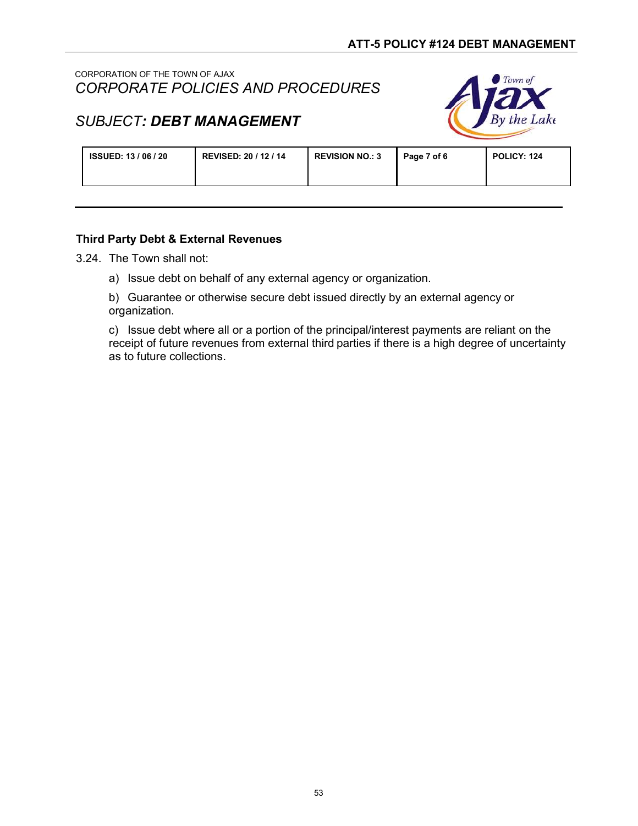# SUBJECT: DEBT MANAGEMENT



| <b>ISSUED: 13 / 06 / 20</b><br>REVISED: 20 / 12 / 14 | <b>REVISION NO.: 3</b> | Page 7 of 6 | <b>POLICY: 124</b> |
|------------------------------------------------------|------------------------|-------------|--------------------|
|------------------------------------------------------|------------------------|-------------|--------------------|

# Third Party Debt & External Revenues

3.24. The Town shall not:

- a) Issue debt on behalf of any external agency or organization.
- b) Guarantee or otherwise secure debt issued directly by an external agency or organization.

c) Issue debt where all or a portion of the principal/interest payments are reliant on the receipt of future revenues from external third parties if there is a high degree of uncertainty as to future collections.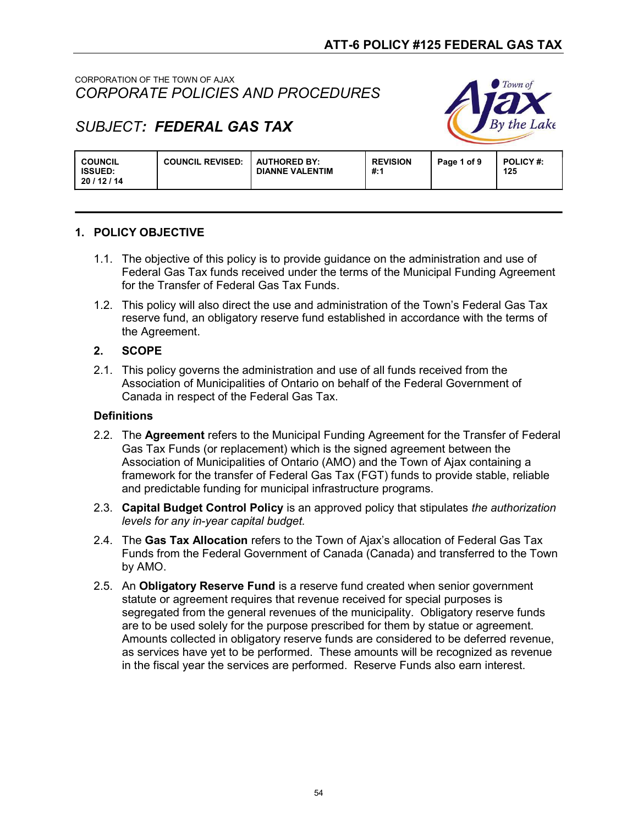# SUBJECT: FEDERAL GAS TAX



# 1. POLICY OBJECTIVE

- 1.1. The objective of this policy is to provide guidance on the administration and use of Federal Gas Tax funds received under the terms of the Municipal Funding Agreement for the Transfer of Federal Gas Tax Funds.
- 1.2. This policy will also direct the use and administration of the Town's Federal Gas Tax reserve fund, an obligatory reserve fund established in accordance with the terms of the Agreement.

# 2. SCOPE

2.1. This policy governs the administration and use of all funds received from the Association of Municipalities of Ontario on behalf of the Federal Government of Canada in respect of the Federal Gas Tax.

## **Definitions**

- 2.2. The Agreement refers to the Municipal Funding Agreement for the Transfer of Federal Gas Tax Funds (or replacement) which is the signed agreement between the Association of Municipalities of Ontario (AMO) and the Town of Ajax containing a framework for the transfer of Federal Gas Tax (FGT) funds to provide stable, reliable and predictable funding for municipal infrastructure programs.
- 2.3. Capital Budget Control Policy is an approved policy that stipulates the authorization levels for any in-year capital budget.
- 2.4. The Gas Tax Allocation refers to the Town of Ajax's allocation of Federal Gas Tax Funds from the Federal Government of Canada (Canada) and transferred to the Town by AMO.
- 2.5. An Obligatory Reserve Fund is a reserve fund created when senior government statute or agreement requires that revenue received for special purposes is segregated from the general revenues of the municipality. Obligatory reserve funds are to be used solely for the purpose prescribed for them by statue or agreement. Amounts collected in obligatory reserve funds are considered to be deferred revenue, as services have yet to be performed. These amounts will be recognized as revenue in the fiscal year the services are performed. Reserve Funds also earn interest.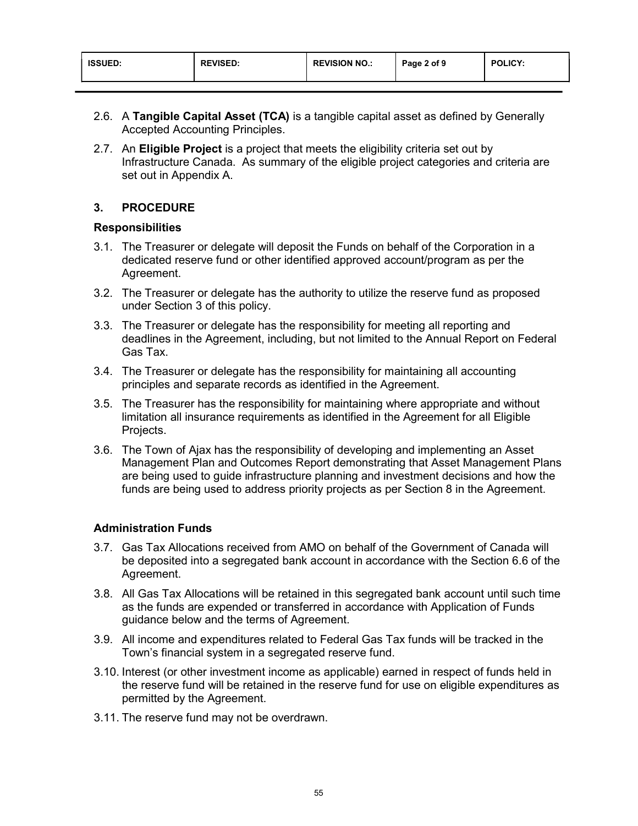| <b>ISSUED:</b> | <b>REVISED:</b> | <b>REVISION NO.:</b> | Page 2 of 9 | <b>POLICY:</b> |
|----------------|-----------------|----------------------|-------------|----------------|
|                |                 |                      |             |                |

- 2.6. A Tangible Capital Asset (TCA) is a tangible capital asset as defined by Generally Accepted Accounting Principles.
- 2.7. An Eligible Project is a project that meets the eligibility criteria set out by Infrastructure Canada. As summary of the eligible project categories and criteria are set out in Appendix A.

# 3. PROCEDURE

# **Responsibilities**

- 3.1. The Treasurer or delegate will deposit the Funds on behalf of the Corporation in a dedicated reserve fund or other identified approved account/program as per the Agreement.
- 3.2. The Treasurer or delegate has the authority to utilize the reserve fund as proposed under Section 3 of this policy.
- 3.3. The Treasurer or delegate has the responsibility for meeting all reporting and deadlines in the Agreement, including, but not limited to the Annual Report on Federal Gas Tax.
- 3.4. The Treasurer or delegate has the responsibility for maintaining all accounting principles and separate records as identified in the Agreement.
- 3.5. The Treasurer has the responsibility for maintaining where appropriate and without limitation all insurance requirements as identified in the Agreement for all Eligible Projects.
- 3.6. The Town of Ajax has the responsibility of developing and implementing an Asset Management Plan and Outcomes Report demonstrating that Asset Management Plans are being used to guide infrastructure planning and investment decisions and how the funds are being used to address priority projects as per Section 8 in the Agreement.

# Administration Funds

- 3.7. Gas Tax Allocations received from AMO on behalf of the Government of Canada will be deposited into a segregated bank account in accordance with the Section 6.6 of the Agreement.
- 3.8. All Gas Tax Allocations will be retained in this segregated bank account until such time as the funds are expended or transferred in accordance with Application of Funds guidance below and the terms of Agreement.
- 3.9. All income and expenditures related to Federal Gas Tax funds will be tracked in the Town's financial system in a segregated reserve fund.
- 3.10. Interest (or other investment income as applicable) earned in respect of funds held in the reserve fund will be retained in the reserve fund for use on eligible expenditures as permitted by the Agreement.
- 3.11. The reserve fund may not be overdrawn.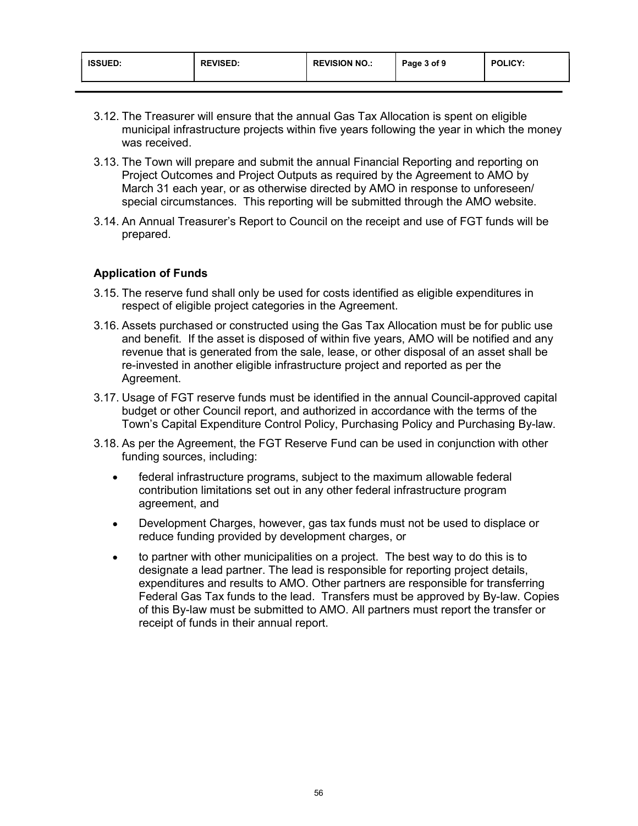|--|

- 3.12. The Treasurer will ensure that the annual Gas Tax Allocation is spent on eligible municipal infrastructure projects within five years following the year in which the money was received.
- 3.13. The Town will prepare and submit the annual Financial Reporting and reporting on Project Outcomes and Project Outputs as required by the Agreement to AMO by March 31 each year, or as otherwise directed by AMO in response to unforeseen/ special circumstances. This reporting will be submitted through the AMO website.
- 3.14. An Annual Treasurer's Report to Council on the receipt and use of FGT funds will be prepared.

## Application of Funds

- 3.15. The reserve fund shall only be used for costs identified as eligible expenditures in respect of eligible project categories in the Agreement.
- 3.16. Assets purchased or constructed using the Gas Tax Allocation must be for public use and benefit. If the asset is disposed of within five years, AMO will be notified and any revenue that is generated from the sale, lease, or other disposal of an asset shall be re-invested in another eligible infrastructure project and reported as per the Agreement.
- 3.17. Usage of FGT reserve funds must be identified in the annual Council-approved capital budget or other Council report, and authorized in accordance with the terms of the Town's Capital Expenditure Control Policy, Purchasing Policy and Purchasing By-law.
- 3.18. As per the Agreement, the FGT Reserve Fund can be used in conjunction with other funding sources, including:
	- federal infrastructure programs, subject to the maximum allowable federal contribution limitations set out in any other federal infrastructure program agreement, and
	- Development Charges, however, gas tax funds must not be used to displace or reduce funding provided by development charges, or
	- to partner with other municipalities on a project. The best way to do this is to designate a lead partner. The lead is responsible for reporting project details, expenditures and results to AMO. Other partners are responsible for transferring Federal Gas Tax funds to the lead. Transfers must be approved by By-law. Copies of this By-law must be submitted to AMO. All partners must report the transfer or receipt of funds in their annual report.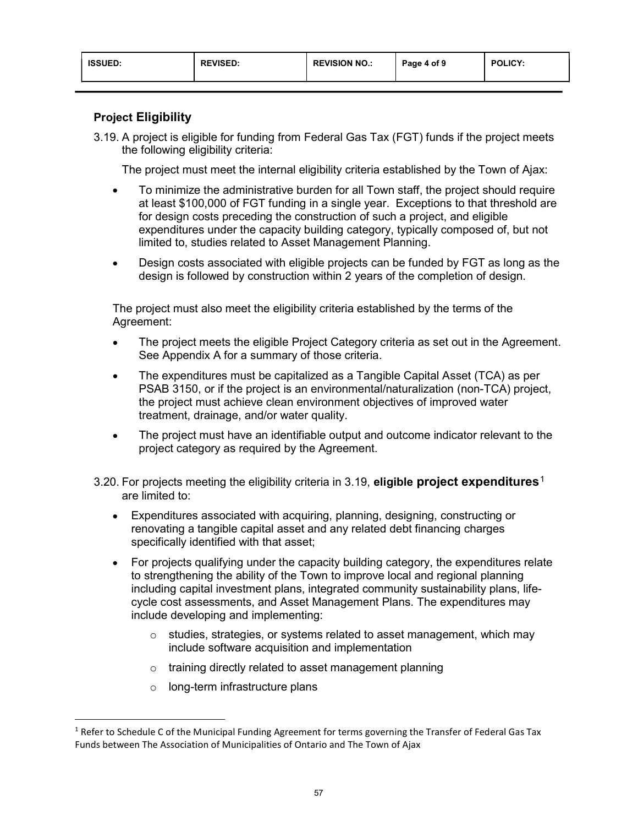| <b>ISSUED:</b> | <b>REVISED:</b> | <b>REVISION NO.:</b> | Page 4 of 9 | <b>POLICY:</b> |
|----------------|-----------------|----------------------|-------------|----------------|
|                |                 |                      |             |                |

# Project Eligibility

3.19. A project is eligible for funding from Federal Gas Tax (FGT) funds if the project meets the following eligibility criteria:

The project must meet the internal eligibility criteria established by the Town of Ajax:

- To minimize the administrative burden for all Town staff, the project should require at least \$100,000 of FGT funding in a single year. Exceptions to that threshold are for design costs preceding the construction of such a project, and eligible expenditures under the capacity building category, typically composed of, but not limited to, studies related to Asset Management Planning.
- Design costs associated with eligible projects can be funded by FGT as long as the  $\bullet$ design is followed by construction within 2 years of the completion of design.

The project must also meet the eligibility criteria established by the terms of the Agreement:

- The project meets the eligible Project Category criteria as set out in the Agreement. See Appendix A for a summary of those criteria.
- The expenditures must be capitalized as a Tangible Capital Asset (TCA) as per  $\bullet$ PSAB 3150, or if the project is an environmental/naturalization (non-TCA) project, the project must achieve clean environment objectives of improved water treatment, drainage, and/or water quality.
- The project must have an identifiable output and outcome indicator relevant to the project category as required by the Agreement.
- 3.20. For projects meeting the eligibility criteria in 3.19, eligible project expenditures<sup>1</sup> are limited to:
	- Expenditures associated with acquiring, planning, designing, constructing or renovating a tangible capital asset and any related debt financing charges specifically identified with that asset;
	- For projects qualifying under the capacity building category, the expenditures relate to strengthening the ability of the Town to improve local and regional planning including capital investment plans, integrated community sustainability plans, lifecycle cost assessments, and Asset Management Plans. The expenditures may include developing and implementing:
		- o studies, strategies, or systems related to asset management, which may include software acquisition and implementation
		- o training directly related to asset management planning
		- o long-term infrastructure plans

 $<sup>1</sup>$  Refer to Schedule C of the Municipal Funding Agreement for terms governing the Transfer of Federal Gas Tax</sup> Funds between The Association of Municipalities of Ontario and The Town of Ajax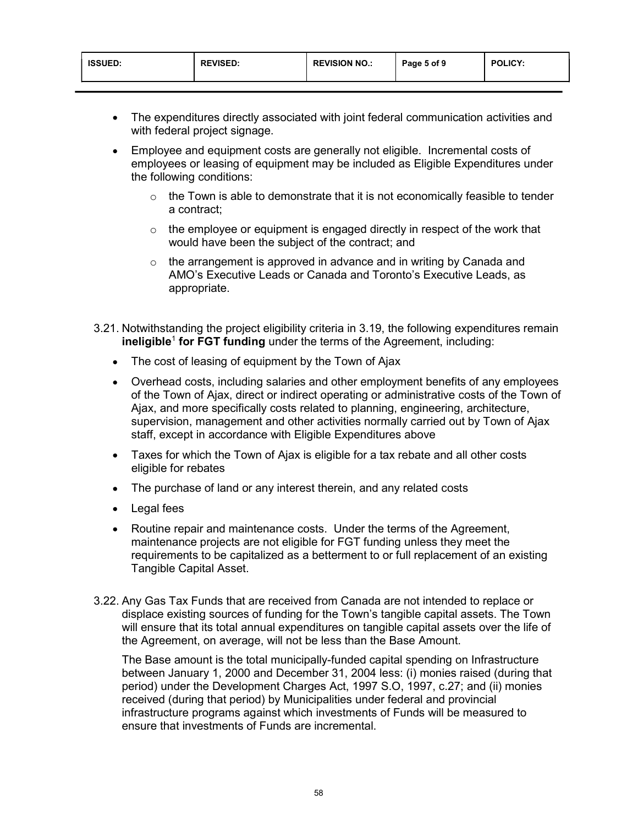| <b>ISSUED:</b> | <b>REVISED:</b> | <b>REVISION NO.:</b> | Page 5 of 9 | <b>POLICY:</b> |
|----------------|-----------------|----------------------|-------------|----------------|
|----------------|-----------------|----------------------|-------------|----------------|

- The expenditures directly associated with joint federal communication activities and with federal project signage.
- Employee and equipment costs are generally not eligible. Incremental costs of employees or leasing of equipment may be included as Eligible Expenditures under the following conditions:
	- $\circ$  the Town is able to demonstrate that it is not economically feasible to tender a contract;
	- $\circ$  the employee or equipment is engaged directly in respect of the work that would have been the subject of the contract; and
	- $\circ$  the arrangement is approved in advance and in writing by Canada and AMO's Executive Leads or Canada and Toronto's Executive Leads, as appropriate.
- 3.21. Notwithstanding the project eligibility criteria in 3.19, the following expenditures remain ineligible<sup>1</sup> for FGT funding under the terms of the Agreement, including:
	- The cost of leasing of equipment by the Town of Ajax
	- Overhead costs, including salaries and other employment benefits of any employees of the Town of Ajax, direct or indirect operating or administrative costs of the Town of Ajax, and more specifically costs related to planning, engineering, architecture, supervision, management and other activities normally carried out by Town of Ajax staff, except in accordance with Eligible Expenditures above
	- Taxes for which the Town of Ajax is eligible for a tax rebate and all other costs eligible for rebates
	- The purchase of land or any interest therein, and any related costs
	- Legal fees
	- Routine repair and maintenance costs. Under the terms of the Agreement, maintenance projects are not eligible for FGT funding unless they meet the requirements to be capitalized as a betterment to or full replacement of an existing Tangible Capital Asset.
- 3.22. Any Gas Tax Funds that are received from Canada are not intended to replace or displace existing sources of funding for the Town's tangible capital assets. The Town will ensure that its total annual expenditures on tangible capital assets over the life of the Agreement, on average, will not be less than the Base Amount.

The Base amount is the total municipally-funded capital spending on Infrastructure between January 1, 2000 and December 31, 2004 less: (i) monies raised (during that period) under the Development Charges Act, 1997 S.O, 1997, c.27; and (ii) monies received (during that period) by Municipalities under federal and provincial infrastructure programs against which investments of Funds will be measured to ensure that investments of Funds are incremental.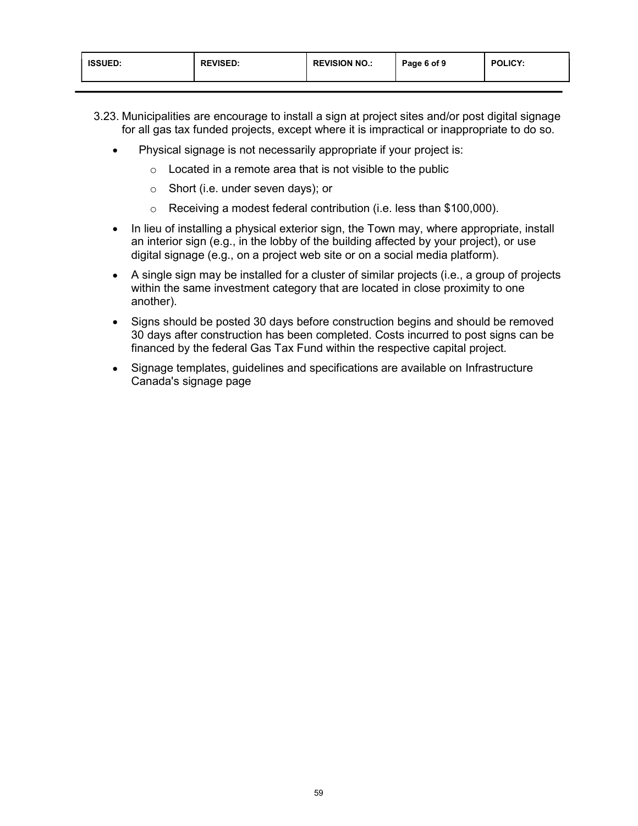|  | <b>ISSUED:</b><br><b>POLICY:</b><br><b>REVISED:</b><br><b>REVISION NO.:</b><br>Page 6 of 9 |
|--|--------------------------------------------------------------------------------------------|
|--|--------------------------------------------------------------------------------------------|

- 3.23. Municipalities are encourage to install a sign at project sites and/or post digital signage for all gas tax funded projects, except where it is impractical or inappropriate to do so.
	- $\bullet$ Physical signage is not necessarily appropriate if your project is:
		- $\circ$  Located in a remote area that is not visible to the public
		- o Short (i.e. under seven days); or
		- o Receiving a modest federal contribution (i.e. less than \$100,000).
	- In lieu of installing a physical exterior sign, the Town may, where appropriate, install  $\bullet$ an interior sign (e.g., in the lobby of the building affected by your project), or use digital signage (e.g., on a project web site or on a social media platform).
	- A single sign may be installed for a cluster of similar projects (i.e., a group of projects  $\bullet$ within the same investment category that are located in close proximity to one another).
	- Signs should be posted 30 days before construction begins and should be removed 30 days after construction has been completed. Costs incurred to post signs can be financed by the federal Gas Tax Fund within the respective capital project.
	- Signage templates, guidelines and specifications are available on Infrastructure  $\bullet$ Canada's signage page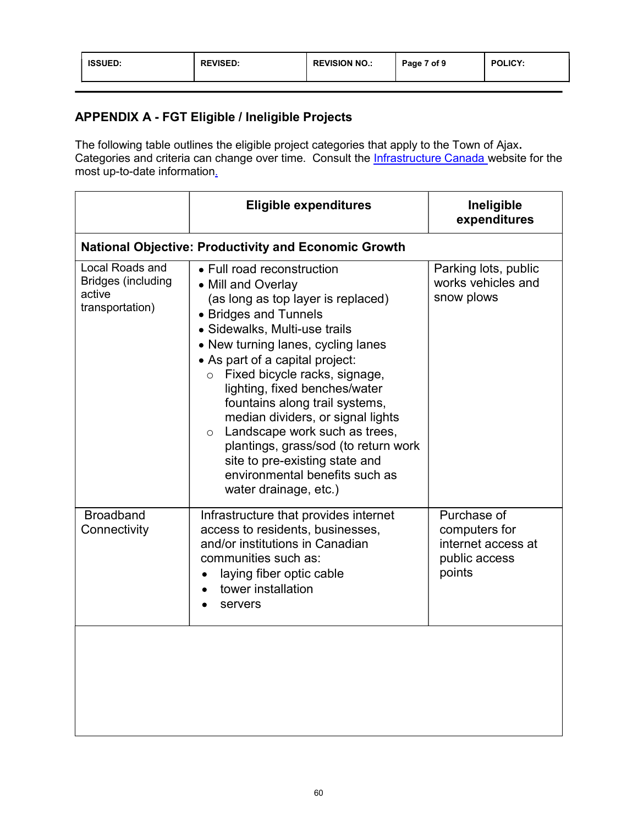| <b>ISSUED:</b> | <b>REVISED:</b> | <b>REVISION NO.:</b> | Page 7 of 9 | <b>POLICY:</b> |
|----------------|-----------------|----------------------|-------------|----------------|
|                |                 |                      |             |                |

# APPENDIX A - FGT Eligible / Ineligible Projects

The following table outlines the eligible project categories that apply to the Town of Ajax. Categories and criteria can change over time. Consult the Infrastructure Canada website for the most up-to-date information.

|                                                                           | <b>Eligible expenditures</b>                                                                                                                                                                                                                                                                                                                                                                                                                                                                                                                                | Ineligible<br>expenditures                                                    |
|---------------------------------------------------------------------------|-------------------------------------------------------------------------------------------------------------------------------------------------------------------------------------------------------------------------------------------------------------------------------------------------------------------------------------------------------------------------------------------------------------------------------------------------------------------------------------------------------------------------------------------------------------|-------------------------------------------------------------------------------|
|                                                                           | <b>National Objective: Productivity and Economic Growth</b>                                                                                                                                                                                                                                                                                                                                                                                                                                                                                                 |                                                                               |
| Local Roads and<br><b>Bridges (including</b><br>active<br>transportation) | • Full road reconstruction<br>• Mill and Overlay<br>(as long as top layer is replaced)<br>• Bridges and Tunnels<br>• Sidewalks, Multi-use trails<br>• New turning lanes, cycling lanes<br>• As part of a capital project:<br>Fixed bicycle racks, signage,<br>$\circ$<br>lighting, fixed benches/water<br>fountains along trail systems,<br>median dividers, or signal lights<br>$\circ$ Landscape work such as trees,<br>plantings, grass/sod (to return work<br>site to pre-existing state and<br>environmental benefits such as<br>water drainage, etc.) | Parking lots, public<br>works vehicles and<br>snow plows                      |
| <b>Broadband</b><br>Connectivity                                          | Infrastructure that provides internet<br>access to residents, businesses,<br>and/or institutions in Canadian<br>communities such as:<br>laying fiber optic cable<br>tower installation<br>servers                                                                                                                                                                                                                                                                                                                                                           | Purchase of<br>computers for<br>internet access at<br>public access<br>points |
|                                                                           |                                                                                                                                                                                                                                                                                                                                                                                                                                                                                                                                                             |                                                                               |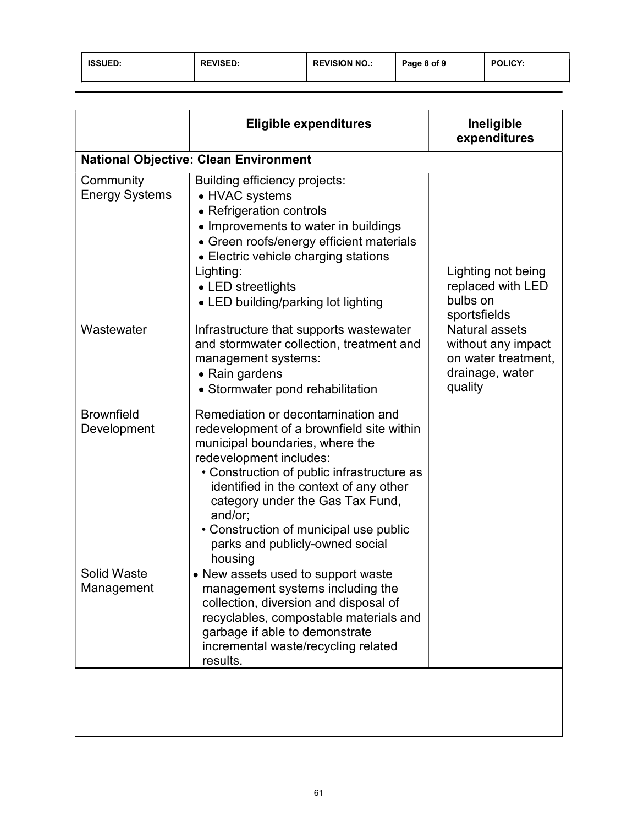| <b>ISSUED:</b> | <b>REVISED:</b> | <b>REVISION NO.:</b> | Page 8 of 9 | <b>POLICY:</b> |
|----------------|-----------------|----------------------|-------------|----------------|
|                |                 |                      |             |                |

|                                    | <b>Eligible expenditures</b>                                                                                                                                                                                                                                                                                                                                                 | Ineligible<br>expenditures                                                                       |
|------------------------------------|------------------------------------------------------------------------------------------------------------------------------------------------------------------------------------------------------------------------------------------------------------------------------------------------------------------------------------------------------------------------------|--------------------------------------------------------------------------------------------------|
|                                    | <b>National Objective: Clean Environment</b>                                                                                                                                                                                                                                                                                                                                 |                                                                                                  |
| Community<br><b>Energy Systems</b> | Building efficiency projects:<br>• HVAC systems<br>• Refrigeration controls<br>• Improvements to water in buildings<br>• Green roofs/energy efficient materials<br>• Electric vehicle charging stations                                                                                                                                                                      |                                                                                                  |
|                                    | Lighting:<br>• LED streetlights<br>• LED building/parking lot lighting                                                                                                                                                                                                                                                                                                       | Lighting not being<br>replaced with LED<br>bulbs on<br>sportsfields                              |
| Wastewater                         | Infrastructure that supports wastewater<br>and stormwater collection, treatment and<br>management systems:<br>• Rain gardens<br>• Stormwater pond rehabilitation                                                                                                                                                                                                             | <b>Natural assets</b><br>without any impact<br>on water treatment,<br>drainage, water<br>quality |
| <b>Brownfield</b><br>Development   | Remediation or decontamination and<br>redevelopment of a brownfield site within<br>municipal boundaries, where the<br>redevelopment includes:<br>• Construction of public infrastructure as<br>identified in the context of any other<br>category under the Gas Tax Fund,<br>and/or;<br>• Construction of municipal use public<br>parks and publicly-owned social<br>housing |                                                                                                  |
| Solid Waste<br>Management          | • New assets used to support waste<br>management systems including the<br>collection, diversion and disposal of<br>recyclables, compostable materials and<br>garbage if able to demonstrate<br>incremental waste/recycling related<br>results.                                                                                                                               |                                                                                                  |
|                                    |                                                                                                                                                                                                                                                                                                                                                                              |                                                                                                  |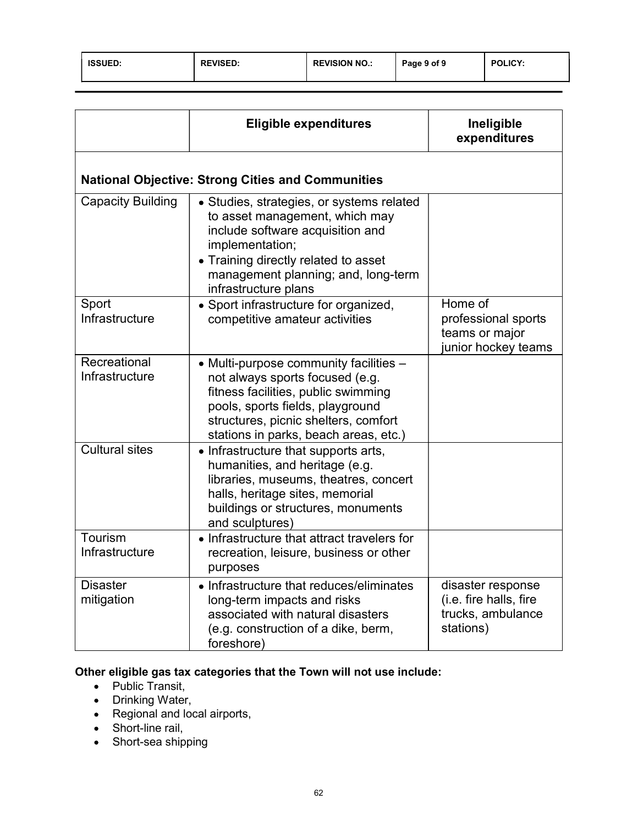| <b>ISSUED:</b> | <b>REVISED:</b> | <b>REVISION NO.:</b> | Page 9 of 9 | <b>POLICY:</b> |
|----------------|-----------------|----------------------|-------------|----------------|
|                |                 |                      |             |                |

|                                | <b>Eligible expenditures</b>                                                                                                                                                                                                              | Ineligible<br>expenditures                                                    |
|--------------------------------|-------------------------------------------------------------------------------------------------------------------------------------------------------------------------------------------------------------------------------------------|-------------------------------------------------------------------------------|
|                                | <b>National Objective: Strong Cities and Communities</b>                                                                                                                                                                                  |                                                                               |
| <b>Capacity Building</b>       | • Studies, strategies, or systems related<br>to asset management, which may<br>include software acquisition and<br>implementation;<br>• Training directly related to asset<br>management planning; and, long-term<br>infrastructure plans |                                                                               |
| Sport<br>Infrastructure        | • Sport infrastructure for organized,<br>competitive amateur activities                                                                                                                                                                   | Home of<br>professional sports<br>teams or major<br>junior hockey teams       |
| Recreational<br>Infrastructure | • Multi-purpose community facilities -<br>not always sports focused (e.g.<br>fitness facilities, public swimming<br>pools, sports fields, playground<br>structures, picnic shelters, comfort<br>stations in parks, beach areas, etc.)     |                                                                               |
| <b>Cultural sites</b>          | • Infrastructure that supports arts,<br>humanities, and heritage (e.g.<br>libraries, museums, theatres, concert<br>halls, heritage sites, memorial<br>buildings or structures, monuments<br>and sculptures)                               |                                                                               |
| Tourism<br>Infrastructure      | • Infrastructure that attract travelers for<br>recreation, leisure, business or other<br>purposes                                                                                                                                         |                                                                               |
| <b>Disaster</b><br>mitigation  | • Infrastructure that reduces/eliminates<br>long-term impacts and risks<br>associated with natural disasters<br>(e.g. construction of a dike, berm,<br>foreshore)                                                                         | disaster response<br>(i.e. fire halls, fire<br>trucks, ambulance<br>stations) |

# Other eligible gas tax categories that the Town will not use include:

- Public Transit,
- Drinking Water,
- Regional and local airports,
- Short-line rail,
- Short-sea shipping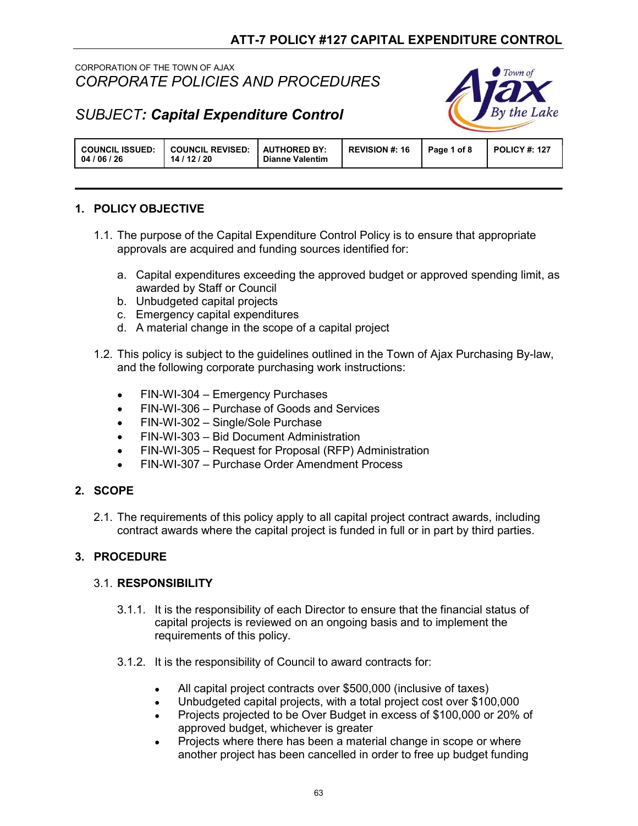# SUBJECT: Capital Expenditure Control



| <b>COUNCIL ISSUED:</b><br><b>COUNCIL REVISED:</b><br><b>AUTHORED BY:</b><br><b>REVISION #: 16</b><br><b>POLICY #: 127</b><br>Page 1 of 8<br>04 / 06 / 26<br><b>Dianne Valentim</b><br>14 / 12 / 20 |  |
|----------------------------------------------------------------------------------------------------------------------------------------------------------------------------------------------------|--|
|----------------------------------------------------------------------------------------------------------------------------------------------------------------------------------------------------|--|

# 1. POLICY OBJECTIVE

- 1.1. The purpose of the Capital Expenditure Control Policy is to ensure that appropriate approvals are acquired and funding sources identified for:
	- a. Capital expenditures exceeding the approved budget or approved spending limit, as awarded by Staff or Council
	- b. Unbudgeted capital projects
	- c. Emergency capital expenditures
	- d. A material change in the scope of a capital project
- 1.2. This policy is subject to the guidelines outlined in the Town of Ajax Purchasing By-law, and the following corporate purchasing work instructions:
	- FIN-WI-304 Emergency Purchases  $\bullet$
	- FIN-WI-306 Purchase of Goods and Services  $\bullet$
	- FIN-WI-302 Single/Sole Purchase  $\bullet$
	- FIN-WI-303 Bid Document Administration  $\bullet$
	- FIN-WI-305 Request for Proposal (RFP) Administration
	- FIN-WI-307 Purchase Order Amendment Process

# 2. SCOPE

2.1. The requirements of this policy apply to all capital project contract awards, including contract awards where the capital project is funded in full or in part by third parties.

# 3. PROCEDURE

## 3.1. RESPONSIBILITY

- 3.1.1. It is the responsibility of each Director to ensure that the financial status of capital projects is reviewed on an ongoing basis and to implement the requirements of this policy.
- 3.1.2. It is the responsibility of Council to award contracts for:
	- All capital project contracts over \$500,000 (inclusive of taxes)  $\bullet$
	- Unbudgeted capital projects, with a total project cost over \$100,000
	- Projects projected to be Over Budget in excess of \$100,000 or 20% of approved budget, whichever is greater
	- Projects where there has been a material change in scope or where another project has been cancelled in order to free up budget funding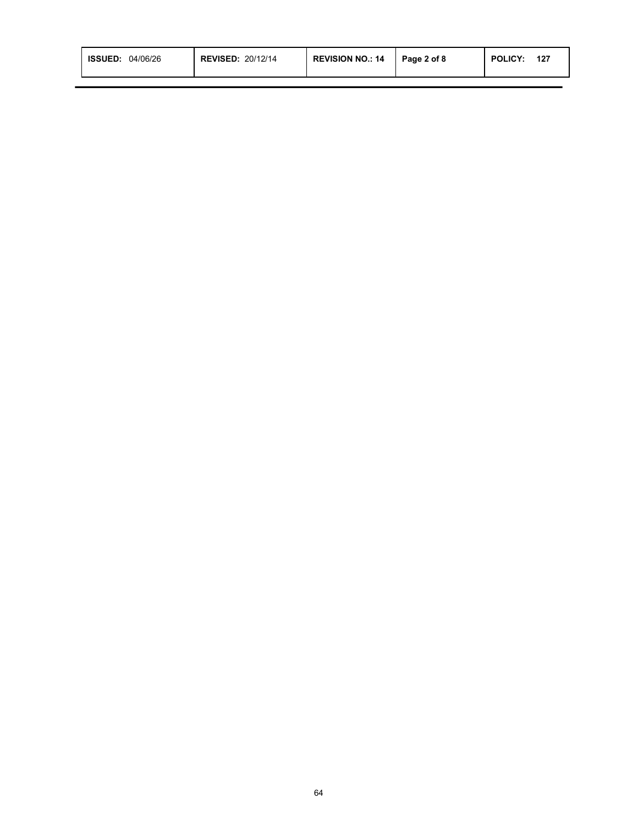| <b>ISSUED:</b><br>04/06/26 | <b>REVISED: 20/12/14</b> | <b>REVISION NO.: 14</b> | Page 2 of 8 | <b>POLICY:</b> | 127 |
|----------------------------|--------------------------|-------------------------|-------------|----------------|-----|
|                            |                          |                         |             |                |     |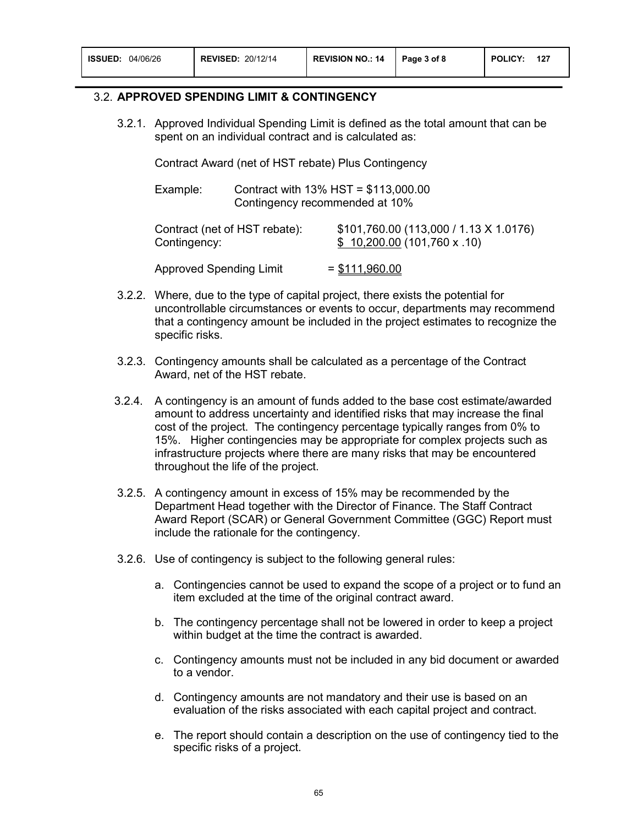| <b>ISSUED: 04/06/26</b> | <b>REVISED: 20/12/14</b> | <b>REVISION NO.: 14</b> | Page 3 of 8 | <b>POLICY:</b> | 127 |
|-------------------------|--------------------------|-------------------------|-------------|----------------|-----|
|                         |                          |                         |             |                |     |

#### 3.2. APPROVED SPENDING LIMIT & CONTINGENCY

3.2.1. Approved Individual Spending Limit is defined as the total amount that can be spent on an individual contract and is calculated as:

Contract Award (net of HST rebate) Plus Contingency

Example: Contract with 13% HST = \$113,000.00 Contingency recommended at 10%

| Contract (net of HST rebate): | \$101,760.00 (113,000 / 1.13 X 1.0176) |
|-------------------------------|----------------------------------------|
| Contingency:                  | $$10,200.00(101,760 \times .10)$       |
| Approved Spending Limit       | $=$ \$111,960.00                       |

- 3.2.2. Where, due to the type of capital project, there exists the potential for uncontrollable circumstances or events to occur, departments may recommend that a contingency amount be included in the project estimates to recognize the specific risks.
- 3.2.3. Contingency amounts shall be calculated as a percentage of the Contract Award, net of the HST rebate.
- 3.2.4. A contingency is an amount of funds added to the base cost estimate/awarded amount to address uncertainty and identified risks that may increase the final cost of the project. The contingency percentage typically ranges from 0% to 15%. Higher contingencies may be appropriate for complex projects such as infrastructure projects where there are many risks that may be encountered throughout the life of the project.
- 3.2.5. A contingency amount in excess of 15% may be recommended by the Department Head together with the Director of Finance. The Staff Contract Award Report (SCAR) or General Government Committee (GGC) Report must include the rationale for the contingency.
- 3.2.6. Use of contingency is subject to the following general rules:
	- a. Contingencies cannot be used to expand the scope of a project or to fund an item excluded at the time of the original contract award.
	- b. The contingency percentage shall not be lowered in order to keep a project within budget at the time the contract is awarded.
	- c. Contingency amounts must not be included in any bid document or awarded to a vendor.
	- d. Contingency amounts are not mandatory and their use is based on an evaluation of the risks associated with each capital project and contract.
	- e. The report should contain a description on the use of contingency tied to the specific risks of a project.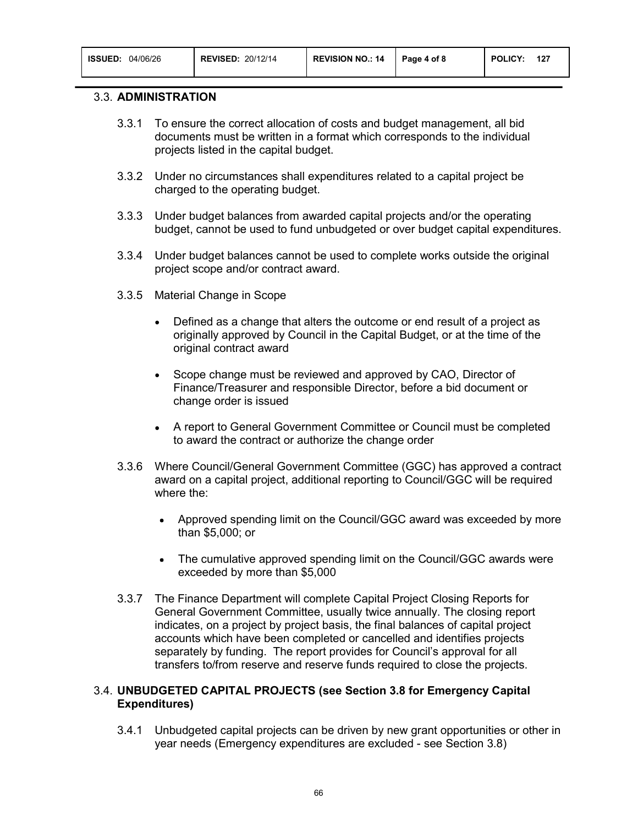#### 3.3. ADMINISTRATION

- 3.3.1 To ensure the correct allocation of costs and budget management, all bid documents must be written in a format which corresponds to the individual projects listed in the capital budget.
- 3.3.2 Under no circumstances shall expenditures related to a capital project be charged to the operating budget.
- 3.3.3 Under budget balances from awarded capital projects and/or the operating budget, cannot be used to fund unbudgeted or over budget capital expenditures.
- 3.3.4 Under budget balances cannot be used to complete works outside the original project scope and/or contract award.
- 3.3.5 Material Change in Scope
	- Defined as a change that alters the outcome or end result of a project as  $\bullet$ originally approved by Council in the Capital Budget, or at the time of the original contract award
	- Scope change must be reviewed and approved by CAO, Director of  $\bullet$ Finance/Treasurer and responsible Director, before a bid document or change order is issued
	- A report to General Government Committee or Council must be completed to award the contract or authorize the change order
- 3.3.6 Where Council/General Government Committee (GGC) has approved a contract award on a capital project, additional reporting to Council/GGC will be required where the:
	- Approved spending limit on the Council/GGC award was exceeded by more than \$5,000; or
	- The cumulative approved spending limit on the Council/GGC awards were exceeded by more than \$5,000
- 3.3.7 The Finance Department will complete Capital Project Closing Reports for General Government Committee, usually twice annually. The closing report indicates, on a project by project basis, the final balances of capital project accounts which have been completed or cancelled and identifies projects separately by funding. The report provides for Council's approval for all transfers to/from reserve and reserve funds required to close the projects.

#### 3.4. UNBUDGETED CAPITAL PROJECTS (see Section 3.8 for Emergency Capital Expenditures)

3.4.1 Unbudgeted capital projects can be driven by new grant opportunities or other in year needs (Emergency expenditures are excluded - see Section 3.8)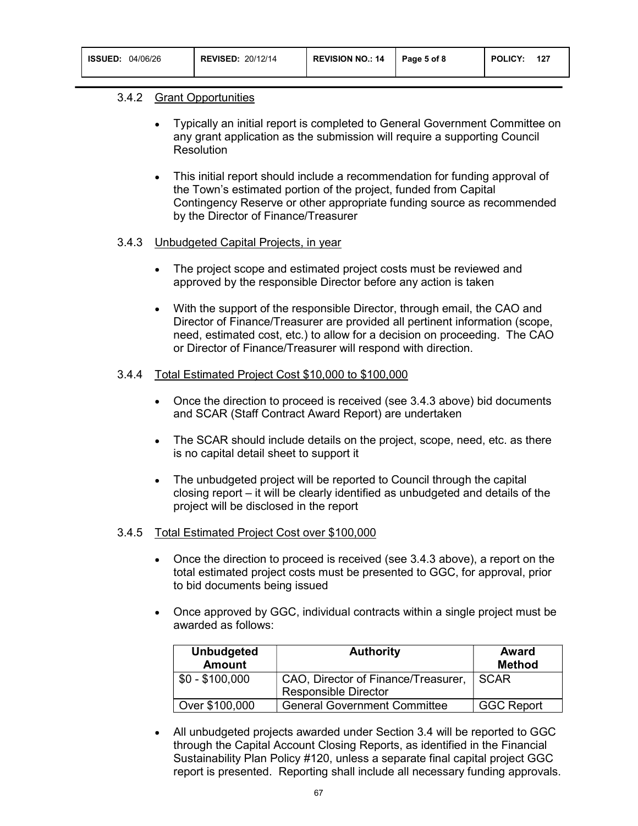#### 3.4.2 Grant Opportunities

- Typically an initial report is completed to General Government Committee on any grant application as the submission will require a supporting Council **Resolution**
- This initial report should include a recommendation for funding approval of the Town's estimated portion of the project, funded from Capital Contingency Reserve or other appropriate funding source as recommended by the Director of Finance/Treasurer

#### 3.4.3 Unbudgeted Capital Projects, in year

- The project scope and estimated project costs must be reviewed and approved by the responsible Director before any action is taken
- With the support of the responsible Director, through email, the CAO and Director of Finance/Treasurer are provided all pertinent information (scope, need, estimated cost, etc.) to allow for a decision on proceeding. The CAO or Director of Finance/Treasurer will respond with direction.

#### 3.4.4 Total Estimated Project Cost \$10,000 to \$100,000

- Once the direction to proceed is received (see 3.4.3 above) bid documents and SCAR (Staff Contract Award Report) are undertaken
- The SCAR should include details on the project, scope, need, etc. as there is no capital detail sheet to support it
- The unbudgeted project will be reported to Council through the capital closing report – it will be clearly identified as unbudgeted and details of the project will be disclosed in the report

#### 3.4.5 Total Estimated Project Cost over \$100,000

- Once the direction to proceed is received (see 3.4.3 above), a report on the total estimated project costs must be presented to GGC, for approval, prior to bid documents being issued
- Once approved by GGC, individual contracts within a single project must be awarded as follows:

| <b>Unbudgeted</b><br><b>Amount</b> | <b>Authority</b>                    | Award<br><b>Method</b> |
|------------------------------------|-------------------------------------|------------------------|
| $$0 - $100,000$                    | CAO, Director of Finance/Treasurer, | SCAR                   |
|                                    | <b>Responsible Director</b>         |                        |
| Over \$100,000                     | <b>General Government Committee</b> | <b>GGC Report</b>      |

All unbudgeted projects awarded under Section 3.4 will be reported to GGC  $\bullet$ through the Capital Account Closing Reports, as identified in the Financial Sustainability Plan Policy #120, unless a separate final capital project GGC report is presented. Reporting shall include all necessary funding approvals.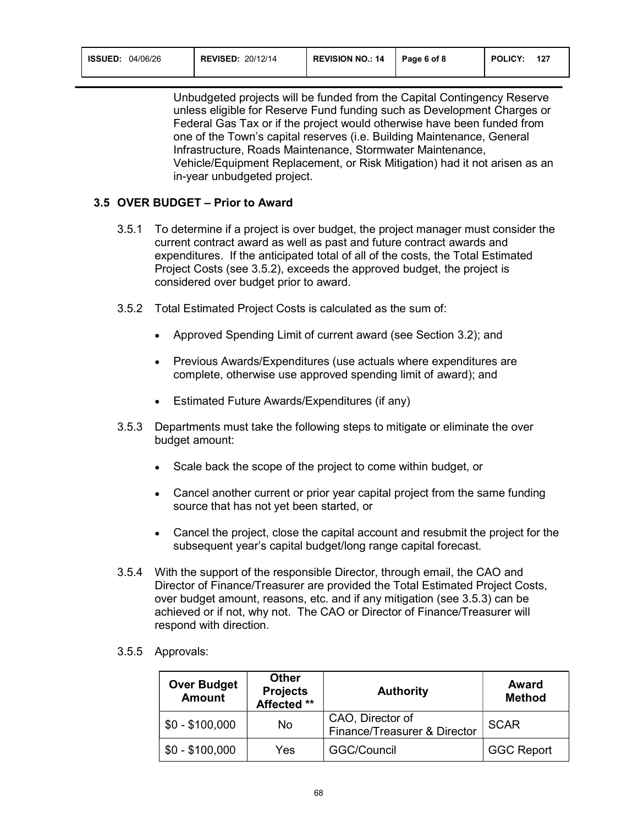| <b>ISSUED:</b><br>04/06/26 | <b>REVISED: 20/12/14</b> | <b>REVISION NO.: 14</b> | Page 6 of 8 | <b>POLICY:</b> | 127 |
|----------------------------|--------------------------|-------------------------|-------------|----------------|-----|
|----------------------------|--------------------------|-------------------------|-------------|----------------|-----|

Unbudgeted projects will be funded from the Capital Contingency Reserve unless eligible for Reserve Fund funding such as Development Charges or Federal Gas Tax or if the project would otherwise have been funded from one of the Town's capital reserves (i.e. Building Maintenance, General Infrastructure, Roads Maintenance, Stormwater Maintenance, Vehicle/Equipment Replacement, or Risk Mitigation) had it not arisen as an in-year unbudgeted project.

#### 3.5 OVER BUDGET – Prior to Award

- 3.5.1 To determine if a project is over budget, the project manager must consider the current contract award as well as past and future contract awards and expenditures. If the anticipated total of all of the costs, the Total Estimated Project Costs (see 3.5.2), exceeds the approved budget, the project is considered over budget prior to award.
- 3.5.2 Total Estimated Project Costs is calculated as the sum of:
	- Approved Spending Limit of current award (see Section 3.2); and
	- Previous Awards/Expenditures (use actuals where expenditures are complete, otherwise use approved spending limit of award); and
	- Estimated Future Awards/Expenditures (if any)
- 3.5.3 Departments must take the following steps to mitigate or eliminate the over budget amount:
	- Scale back the scope of the project to come within budget, or
	- Cancel another current or prior year capital project from the same funding source that has not yet been started, or
	- Cancel the project, close the capital account and resubmit the project for the subsequent year's capital budget/long range capital forecast.
- 3.5.4 With the support of the responsible Director, through email, the CAO and Director of Finance/Treasurer are provided the Total Estimated Project Costs, over budget amount, reasons, etc. and if any mitigation (see 3.5.3) can be achieved or if not, why not. The CAO or Director of Finance/Treasurer will respond with direction.

| 3.5.5 | Approvals: |
|-------|------------|
|       |            |

| <b>Over Budget</b><br><b>Amount</b> | <b>Other</b><br><b>Projects</b><br>Affected ** | <b>Authority</b>                                 | Award<br><b>Method</b> |
|-------------------------------------|------------------------------------------------|--------------------------------------------------|------------------------|
| $$0 - $100,000$                     | No                                             | CAO, Director of<br>Finance/Treasurer & Director | <b>SCAR</b>            |
| $$0 - $100,000$                     | Yes                                            | GGC/Council                                      | <b>GGC Report</b>      |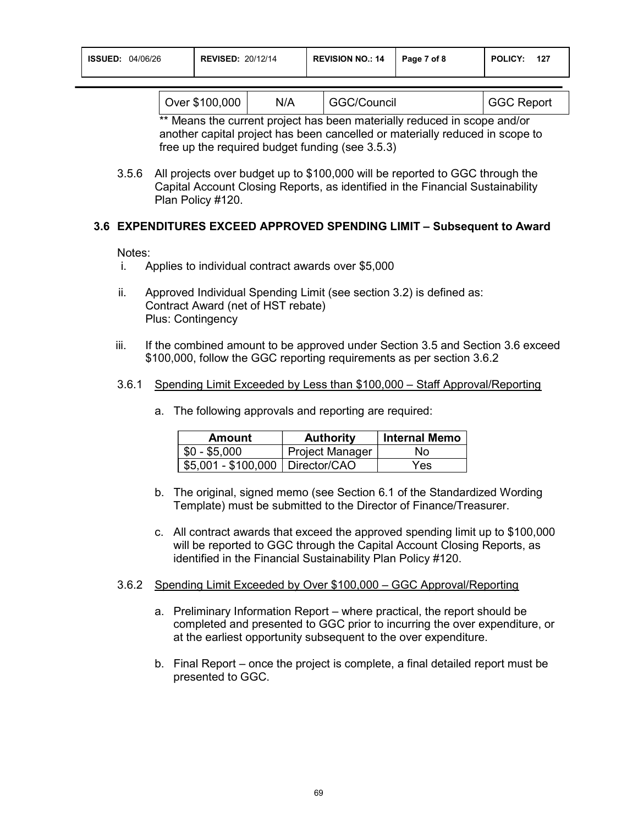| Over \$100,000 | N/A | <b>GGC/Council</b> | <b>GGC Report</b> |
|----------------|-----|--------------------|-------------------|
|----------------|-----|--------------------|-------------------|

\*\* Means the current project has been materially reduced in scope and/or another capital project has been cancelled or materially reduced in scope to free up the required budget funding (see 3.5.3)

3.5.6 All projects over budget up to \$100,000 will be reported to GGC through the Capital Account Closing Reports, as identified in the Financial Sustainability Plan Policy #120.

## 3.6 EXPENDITURES EXCEED APPROVED SPENDING LIMIT – Subsequent to Award

Notes:

- i. Applies to individual contract awards over \$5,000
- ii. Approved Individual Spending Limit (see section 3.2) is defined as: Contract Award (net of HST rebate) Plus: Contingency

a. The following approvals and reporting are required:

- iii. If the combined amount to be approved under Section 3.5 and Section 3.6 exceed \$100,000, follow the GGC reporting requirements as per section 3.6.2
- 3.6.1 Spending Limit Exceeded by Less than \$100,000 Staff Approval/Reporting

| Amount                             | <b>Authority</b> | <b>Internal Memo</b> |
|------------------------------------|------------------|----------------------|
| $$0 - $5.000$                      | Project Manager  | Nο                   |
| \$5,001 - \$100,000   Director/CAO |                  | Yes                  |

- b. The original, signed memo (see Section 6.1 of the Standardized Wording Template) must be submitted to the Director of Finance/Treasurer.
- c. All contract awards that exceed the approved spending limit up to \$100,000 will be reported to GGC through the Capital Account Closing Reports, as identified in the Financial Sustainability Plan Policy #120.

#### 3.6.2 Spending Limit Exceeded by Over \$100,000 – GGC Approval/Reporting

- a. Preliminary Information Report where practical, the report should be completed and presented to GGC prior to incurring the over expenditure, or at the earliest opportunity subsequent to the over expenditure.
- b. Final Report once the project is complete, a final detailed report must be presented to GGC.